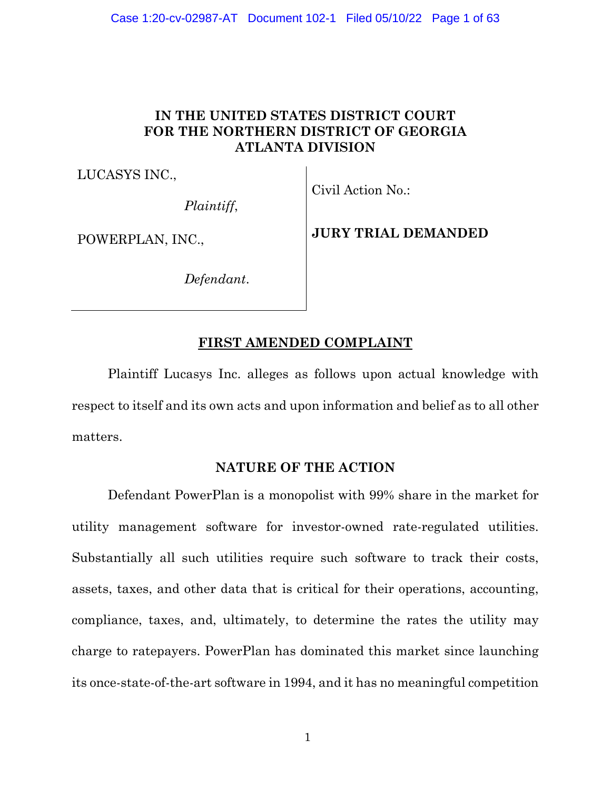# **IN THE UNITED STATES DISTRICT COURT FOR THE NORTHERN DISTRICT OF GEORGIA ATLANTA DIVISION**

LUCASYS INC.,

*Plaintiff*,

Civil Action No.:

POWERPLAN, INC.,

**JURY TRIAL DEMANDED** 

*Defendant*.

# **FIRST AMENDED COMPLAINT**

Plaintiff Lucasys Inc. alleges as follows upon actual knowledge with respect to itself and its own acts and upon information and belief as to all other matters.

### **NATURE OF THE ACTION**

Defendant PowerPlan is a monopolist with 99% share in the market for utility management software for investor-owned rate-regulated utilities. Substantially all such utilities require such software to track their costs, assets, taxes, and other data that is critical for their operations, accounting, compliance, taxes, and, ultimately, to determine the rates the utility may charge to ratepayers. PowerPlan has dominated this market since launching its once-state-of-the-art software in 1994, and it has no meaningful competition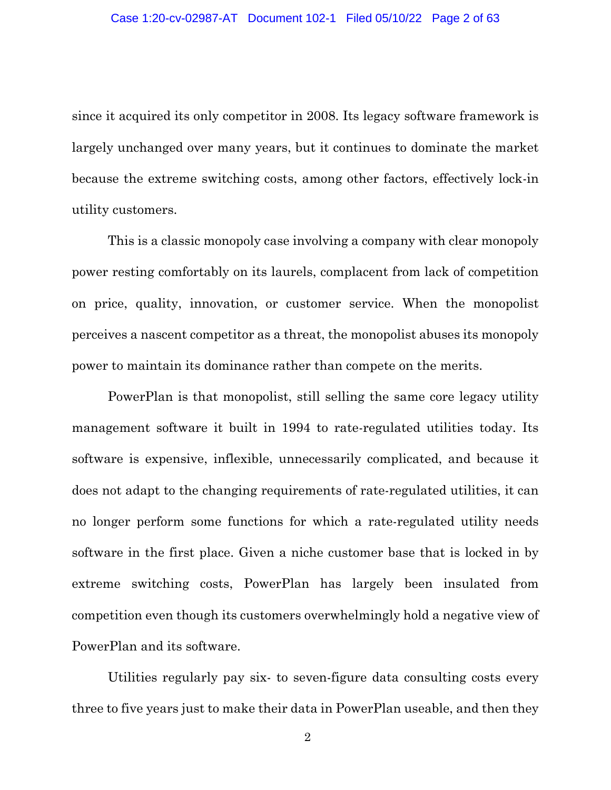since it acquired its only competitor in 2008. Its legacy software framework is largely unchanged over many years, but it continues to dominate the market because the extreme switching costs, among other factors, effectively lock-in utility customers.

This is a classic monopoly case involving a company with clear monopoly power resting comfortably on its laurels, complacent from lack of competition on price, quality, innovation, or customer service. When the monopolist perceives a nascent competitor as a threat, the monopolist abuses its monopoly power to maintain its dominance rather than compete on the merits.

PowerPlan is that monopolist, still selling the same core legacy utility management software it built in 1994 to rate-regulated utilities today. Its software is expensive, inflexible, unnecessarily complicated, and because it does not adapt to the changing requirements of rate-regulated utilities, it can no longer perform some functions for which a rate-regulated utility needs software in the first place. Given a niche customer base that is locked in by extreme switching costs, PowerPlan has largely been insulated from competition even though its customers overwhelmingly hold a negative view of PowerPlan and its software.

Utilities regularly pay six- to seven-figure data consulting costs every three to five years just to make their data in PowerPlan useable, and then they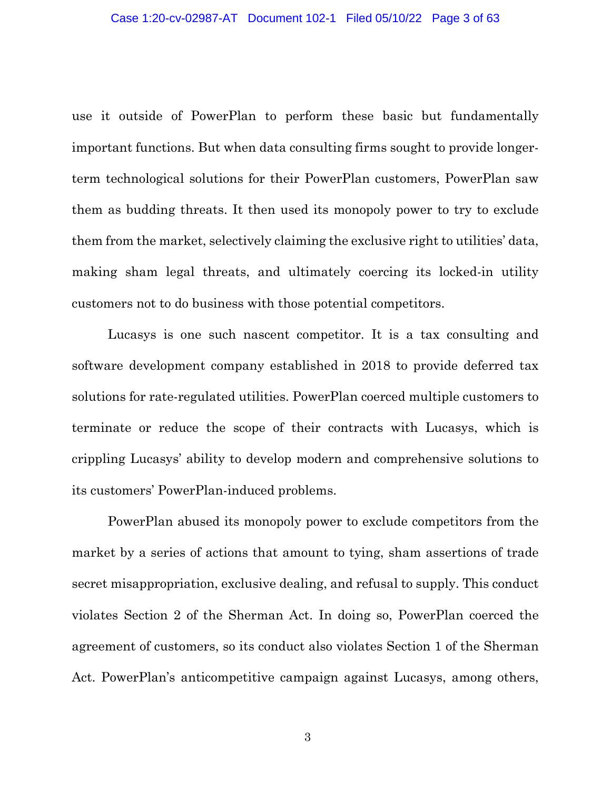use it outside of PowerPlan to perform these basic but fundamentally important functions. But when data consulting firms sought to provide longerterm technological solutions for their PowerPlan customers, PowerPlan saw them as budding threats. It then used its monopoly power to try to exclude them from the market, selectively claiming the exclusive right to utilities' data, making sham legal threats, and ultimately coercing its locked-in utility customers not to do business with those potential competitors.

Lucasys is one such nascent competitor. It is a tax consulting and software development company established in 2018 to provide deferred tax solutions for rate-regulated utilities. PowerPlan coerced multiple customers to terminate or reduce the scope of their contracts with Lucasys, which is crippling Lucasys' ability to develop modern and comprehensive solutions to its customers' PowerPlan-induced problems.

PowerPlan abused its monopoly power to exclude competitors from the market by a series of actions that amount to tying, sham assertions of trade secret misappropriation, exclusive dealing, and refusal to supply. This conduct violates Section 2 of the Sherman Act. In doing so, PowerPlan coerced the agreement of customers, so its conduct also violates Section 1 of the Sherman Act. PowerPlan's anticompetitive campaign against Lucasys, among others,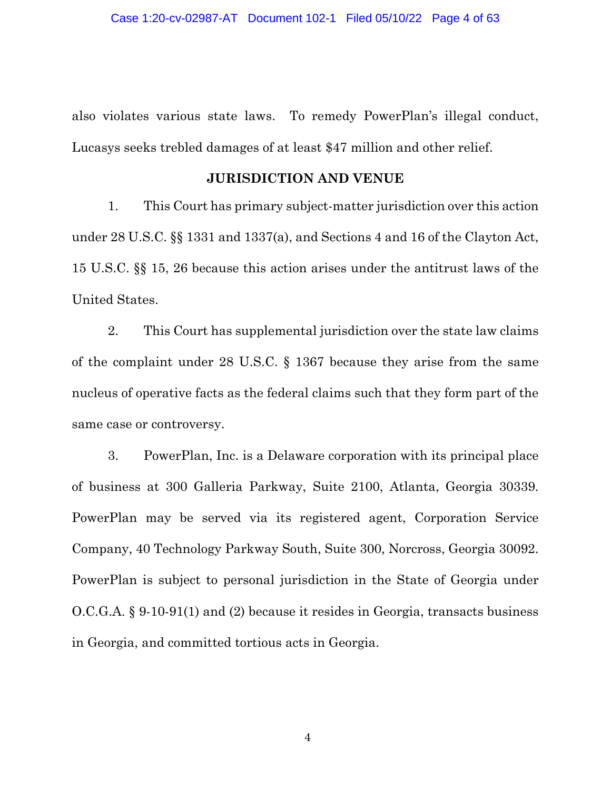also violates various state laws. To remedy PowerPlan's illegal conduct, Lucasys seeks trebled damages of at least \$47 million and other relief.

### **JURISDICTION AND VENUE**

1. This Court has primary subject-matter jurisdiction over this action under 28 U.S.C. §§ 1331 and 1337(a), and Sections 4 and 16 of the Clayton Act, 15 U.S.C. §§ 15, 26 because this action arises under the antitrust laws of the United States.

2. This Court has supplemental jurisdiction over the state law claims of the complaint under 28 U.S.C. § 1367 because they arise from the same nucleus of operative facts as the federal claims such that they form part of the same case or controversy.

3. PowerPlan, Inc. is a Delaware corporation with its principal place of business at 300 Galleria Parkway, Suite 2100, Atlanta, Georgia 30339. PowerPlan may be served via its registered agent, Corporation Service Company, 40 Technology Parkway South, Suite 300, Norcross, Georgia 30092. PowerPlan is subject to personal jurisdiction in the State of Georgia under O.C.G.A. § 9-10-91(1) and (2) because it resides in Georgia, transacts business in Georgia, and committed tortious acts in Georgia.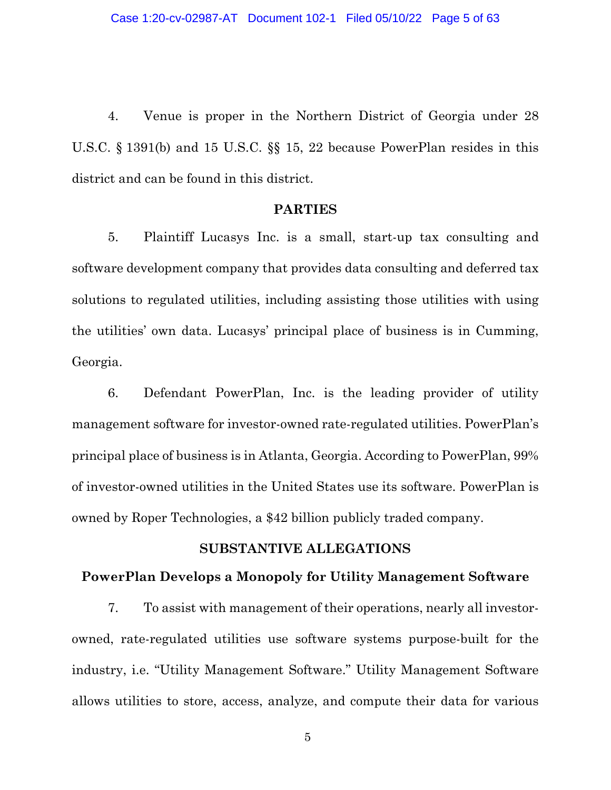4. Venue is proper in the Northern District of Georgia under 28 U.S.C. § 1391(b) and 15 U.S.C. §§ 15, 22 because PowerPlan resides in this district and can be found in this district.

#### **PARTIES**

5. Plaintiff Lucasys Inc. is a small, start-up tax consulting and software development company that provides data consulting and deferred tax solutions to regulated utilities, including assisting those utilities with using the utilities' own data. Lucasys' principal place of business is in Cumming, Georgia.

6. Defendant PowerPlan, Inc. is the leading provider of utility management software for investor-owned rate-regulated utilities. PowerPlan's principal place of business is in Atlanta, Georgia. According to PowerPlan, 99% of investor-owned utilities in the United States use its software. PowerPlan is owned by Roper Technologies, a \$42 billion publicly traded company.

### **SUBSTANTIVE ALLEGATIONS**

#### **PowerPlan Develops a Monopoly for Utility Management Software**

7. To assist with management of their operations, nearly all investorowned, rate-regulated utilities use software systems purpose-built for the industry, i.e. "Utility Management Software." Utility Management Software allows utilities to store, access, analyze, and compute their data for various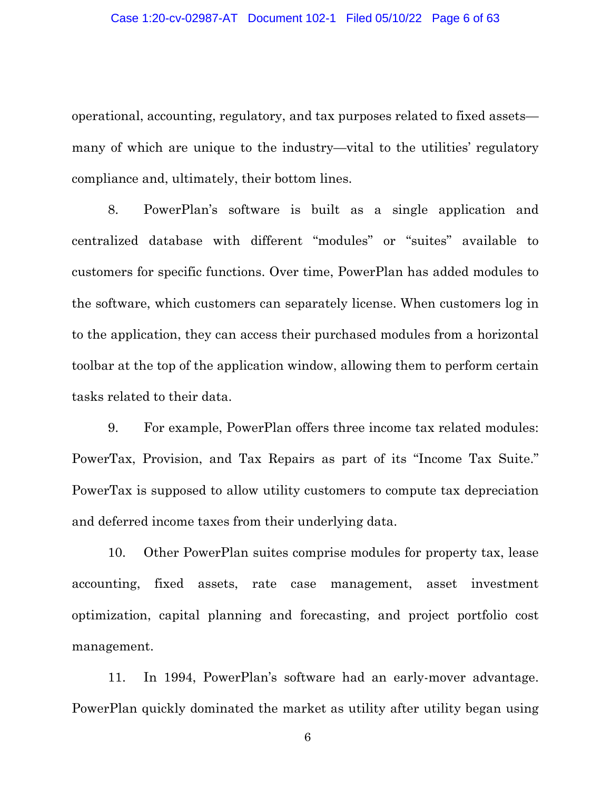operational, accounting, regulatory, and tax purposes related to fixed assets many of which are unique to the industry—vital to the utilities' regulatory compliance and, ultimately, their bottom lines.

8. PowerPlan's software is built as a single application and centralized database with different "modules" or "suites" available to customers for specific functions. Over time, PowerPlan has added modules to the software, which customers can separately license. When customers log in to the application, they can access their purchased modules from a horizontal toolbar at the top of the application window, allowing them to perform certain tasks related to their data.

9. For example, PowerPlan offers three income tax related modules: PowerTax, Provision, and Tax Repairs as part of its "Income Tax Suite." PowerTax is supposed to allow utility customers to compute tax depreciation and deferred income taxes from their underlying data.

10. Other PowerPlan suites comprise modules for property tax, lease accounting, fixed assets, rate case management, asset investment optimization, capital planning and forecasting, and project portfolio cost management.

11. In 1994, PowerPlan's software had an early-mover advantage. PowerPlan quickly dominated the market as utility after utility began using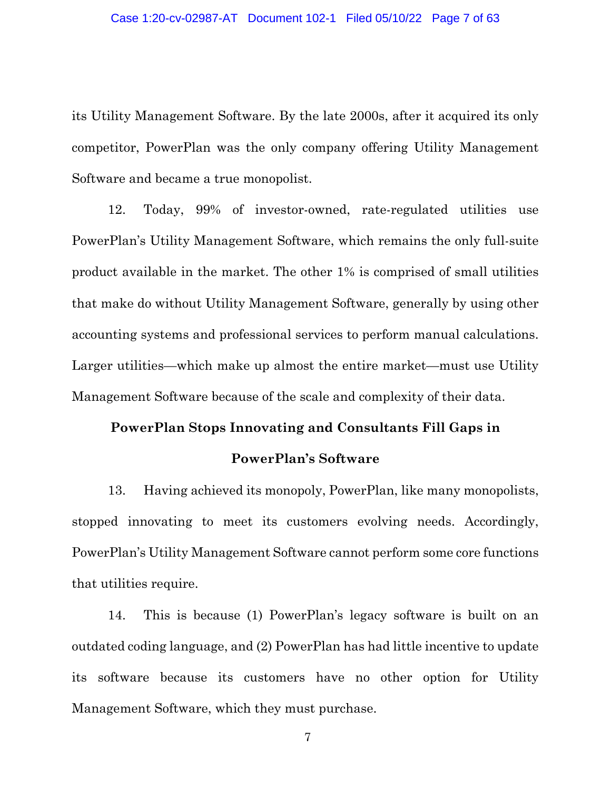its Utility Management Software. By the late 2000s, after it acquired its only competitor, PowerPlan was the only company offering Utility Management Software and became a true monopolist.

12. Today, 99% of investor-owned, rate-regulated utilities use PowerPlan's Utility Management Software, which remains the only full-suite product available in the market. The other 1% is comprised of small utilities that make do without Utility Management Software, generally by using other accounting systems and professional services to perform manual calculations. Larger utilities—which make up almost the entire market—must use Utility Management Software because of the scale and complexity of their data.

#### **PowerPlan Stops Innovating and Consultants Fill Gaps in**

#### **PowerPlan's Software**

13. Having achieved its monopoly, PowerPlan, like many monopolists, stopped innovating to meet its customers evolving needs. Accordingly, PowerPlan's Utility Management Software cannot perform some core functions that utilities require.

14. This is because (1) PowerPlan's legacy software is built on an outdated coding language, and (2) PowerPlan has had little incentive to update its software because its customers have no other option for Utility Management Software, which they must purchase.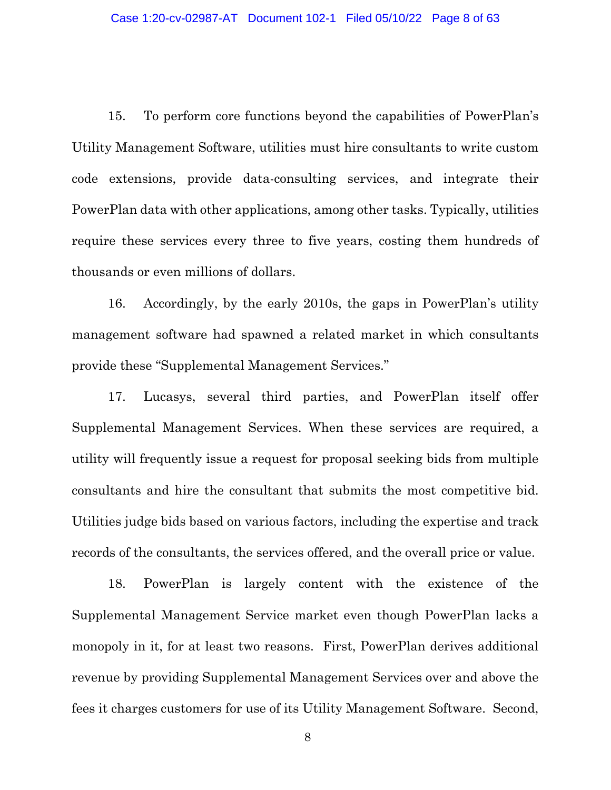15. To perform core functions beyond the capabilities of PowerPlan's Utility Management Software, utilities must hire consultants to write custom code extensions, provide data-consulting services, and integrate their PowerPlan data with other applications, among other tasks. Typically, utilities require these services every three to five years, costing them hundreds of thousands or even millions of dollars.

16. Accordingly, by the early 2010s, the gaps in PowerPlan's utility management software had spawned a related market in which consultants provide these "Supplemental Management Services."

17. Lucasys, several third parties, and PowerPlan itself offer Supplemental Management Services. When these services are required, a utility will frequently issue a request for proposal seeking bids from multiple consultants and hire the consultant that submits the most competitive bid. Utilities judge bids based on various factors, including the expertise and track records of the consultants, the services offered, and the overall price or value.

18. PowerPlan is largely content with the existence of the Supplemental Management Service market even though PowerPlan lacks a monopoly in it, for at least two reasons. First, PowerPlan derives additional revenue by providing Supplemental Management Services over and above the fees it charges customers for use of its Utility Management Software. Second,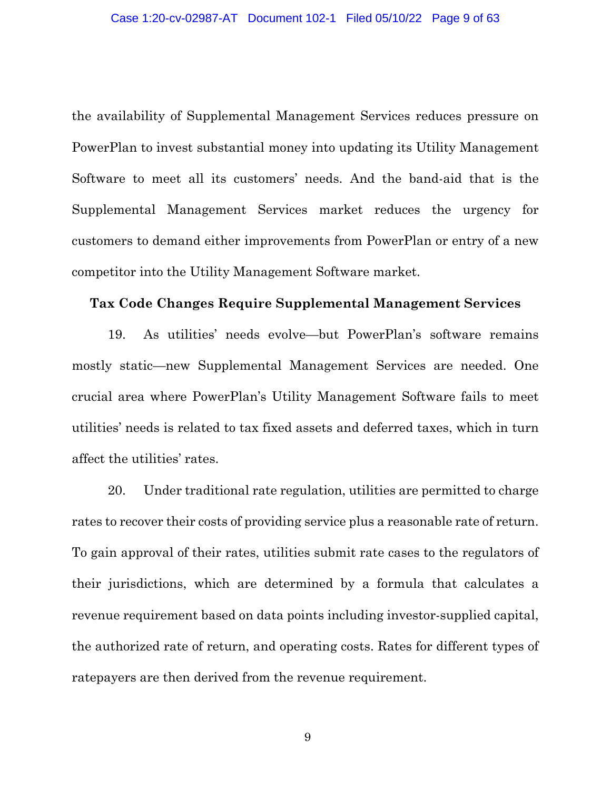the availability of Supplemental Management Services reduces pressure on PowerPlan to invest substantial money into updating its Utility Management Software to meet all its customers' needs. And the band-aid that is the Supplemental Management Services market reduces the urgency for customers to demand either improvements from PowerPlan or entry of a new competitor into the Utility Management Software market.

### **Tax Code Changes Require Supplemental Management Services**

19. As utilities' needs evolve—but PowerPlan's software remains mostly static—new Supplemental Management Services are needed. One crucial area where PowerPlan's Utility Management Software fails to meet utilities' needs is related to tax fixed assets and deferred taxes, which in turn affect the utilities' rates.

20. Under traditional rate regulation, utilities are permitted to charge rates to recover their costs of providing service plus a reasonable rate of return. To gain approval of their rates, utilities submit rate cases to the regulators of their jurisdictions, which are determined by a formula that calculates a revenue requirement based on data points including investor-supplied capital, the authorized rate of return, and operating costs. Rates for different types of ratepayers are then derived from the revenue requirement.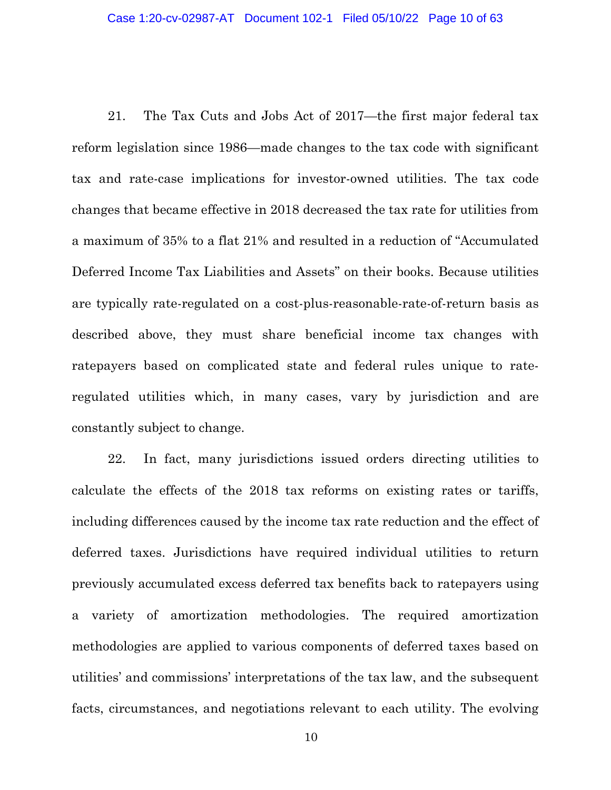21. The Tax Cuts and Jobs Act of 2017—the first major federal tax reform legislation since 1986—made changes to the tax code with significant tax and rate-case implications for investor-owned utilities. The tax code changes that became effective in 2018 decreased the tax rate for utilities from a maximum of 35% to a flat 21% and resulted in a reduction of "Accumulated Deferred Income Tax Liabilities and Assets" on their books. Because utilities are typically rate-regulated on a cost-plus-reasonable-rate-of-return basis as described above, they must share beneficial income tax changes with ratepayers based on complicated state and federal rules unique to rateregulated utilities which, in many cases, vary by jurisdiction and are constantly subject to change.

22. In fact, many jurisdictions issued orders directing utilities to calculate the effects of the 2018 tax reforms on existing rates or tariffs, including differences caused by the income tax rate reduction and the effect of deferred taxes. Jurisdictions have required individual utilities to return previously accumulated excess deferred tax benefits back to ratepayers using a variety of amortization methodologies. The required amortization methodologies are applied to various components of deferred taxes based on utilities' and commissions' interpretations of the tax law, and the subsequent facts, circumstances, and negotiations relevant to each utility. The evolving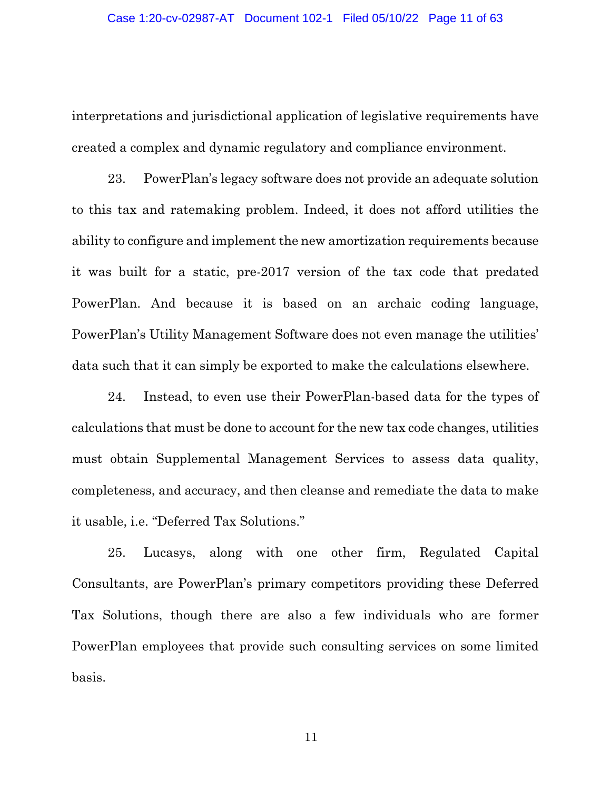interpretations and jurisdictional application of legislative requirements have created a complex and dynamic regulatory and compliance environment.

23. PowerPlan's legacy software does not provide an adequate solution to this tax and ratemaking problem. Indeed, it does not afford utilities the ability to configure and implement the new amortization requirements because it was built for a static, pre-2017 version of the tax code that predated PowerPlan. And because it is based on an archaic coding language, PowerPlan's Utility Management Software does not even manage the utilities' data such that it can simply be exported to make the calculations elsewhere.

24. Instead, to even use their PowerPlan-based data for the types of calculations that must be done to account for the new tax code changes, utilities must obtain Supplemental Management Services to assess data quality, completeness, and accuracy, and then cleanse and remediate the data to make it usable, i.e. "Deferred Tax Solutions."

25. Lucasys, along with one other firm, Regulated Capital Consultants, are PowerPlan's primary competitors providing these Deferred Tax Solutions, though there are also a few individuals who are former PowerPlan employees that provide such consulting services on some limited basis.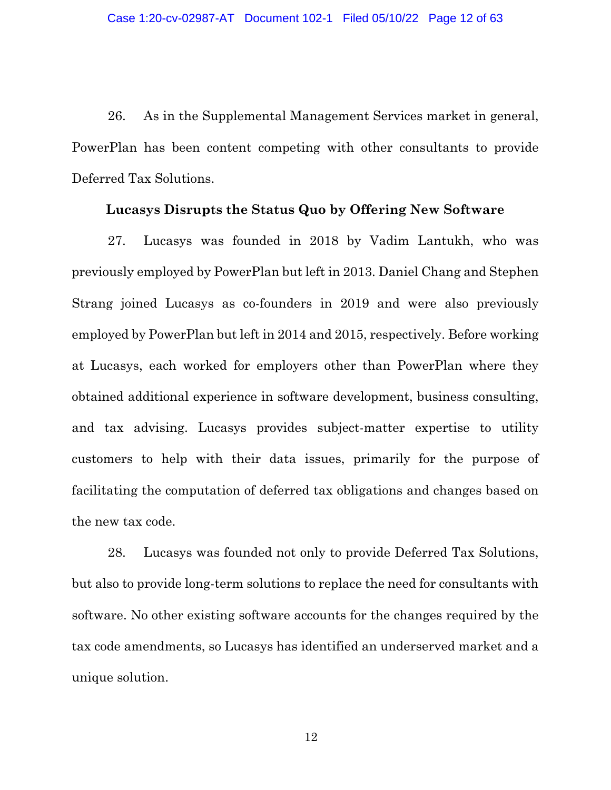26. As in the Supplemental Management Services market in general, PowerPlan has been content competing with other consultants to provide Deferred Tax Solutions.

#### **Lucasys Disrupts the Status Quo by Offering New Software**

27. Lucasys was founded in 2018 by Vadim Lantukh, who was previously employed by PowerPlan but left in 2013. Daniel Chang and Stephen Strang joined Lucasys as co-founders in 2019 and were also previously employed by PowerPlan but left in 2014 and 2015, respectively. Before working at Lucasys, each worked for employers other than PowerPlan where they obtained additional experience in software development, business consulting, and tax advising. Lucasys provides subject-matter expertise to utility customers to help with their data issues, primarily for the purpose of facilitating the computation of deferred tax obligations and changes based on the new tax code.

28. Lucasys was founded not only to provide Deferred Tax Solutions, but also to provide long-term solutions to replace the need for consultants with software. No other existing software accounts for the changes required by the tax code amendments, so Lucasys has identified an underserved market and a unique solution.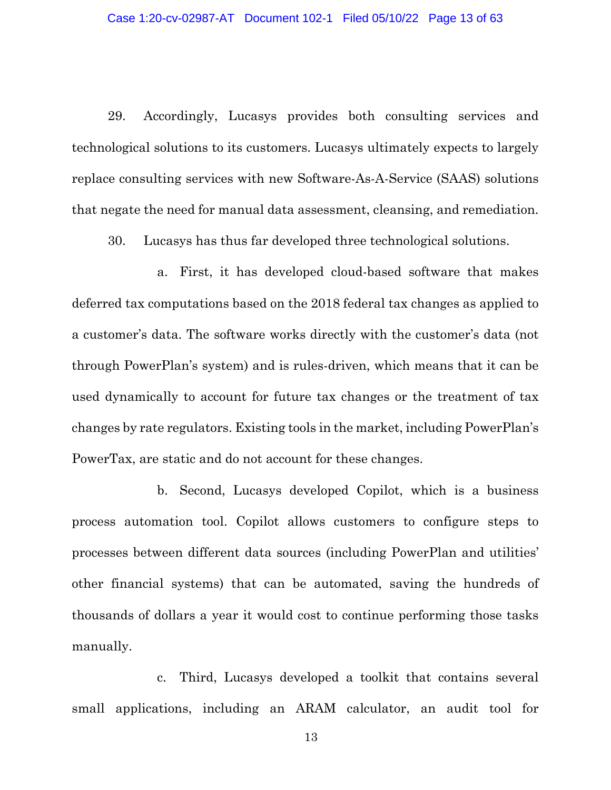29. Accordingly, Lucasys provides both consulting services and technological solutions to its customers. Lucasys ultimately expects to largely replace consulting services with new Software-As-A-Service (SAAS) solutions that negate the need for manual data assessment, cleansing, and remediation.

30. Lucasys has thus far developed three technological solutions.

a. First, it has developed cloud-based software that makes deferred tax computations based on the 2018 federal tax changes as applied to a customer's data. The software works directly with the customer's data (not through PowerPlan's system) and is rules-driven, which means that it can be used dynamically to account for future tax changes or the treatment of tax changes by rate regulators. Existing tools in the market, including PowerPlan's PowerTax, are static and do not account for these changes.

b. Second, Lucasys developed Copilot, which is a business process automation tool. Copilot allows customers to configure steps to processes between different data sources (including PowerPlan and utilities' other financial systems) that can be automated, saving the hundreds of thousands of dollars a year it would cost to continue performing those tasks manually.

c. Third, Lucasys developed a toolkit that contains several small applications, including an ARAM calculator, an audit tool for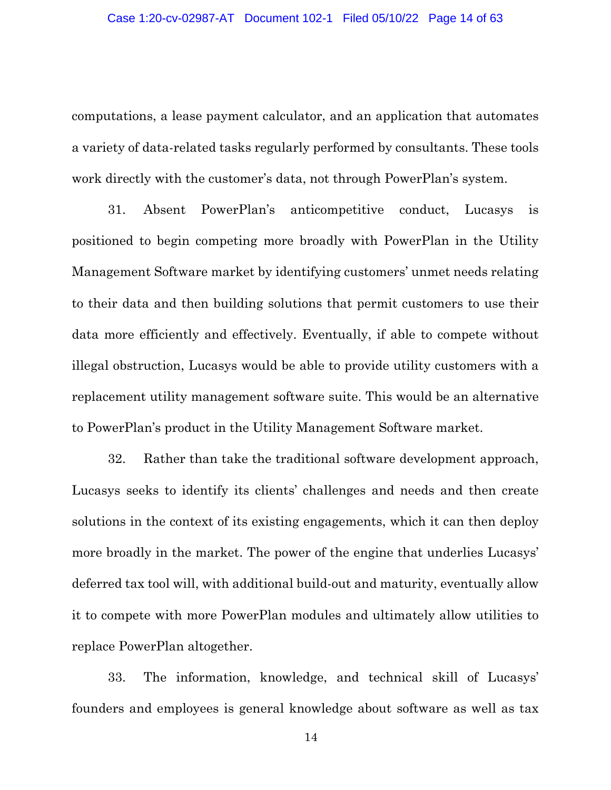computations, a lease payment calculator, and an application that automates a variety of data-related tasks regularly performed by consultants. These tools work directly with the customer's data, not through PowerPlan's system.

31. Absent PowerPlan's anticompetitive conduct, Lucasys is positioned to begin competing more broadly with PowerPlan in the Utility Management Software market by identifying customers' unmet needs relating to their data and then building solutions that permit customers to use their data more efficiently and effectively. Eventually, if able to compete without illegal obstruction, Lucasys would be able to provide utility customers with a replacement utility management software suite. This would be an alternative to PowerPlan's product in the Utility Management Software market.

32. Rather than take the traditional software development approach, Lucasys seeks to identify its clients' challenges and needs and then create solutions in the context of its existing engagements, which it can then deploy more broadly in the market. The power of the engine that underlies Lucasys' deferred tax tool will, with additional build-out and maturity, eventually allow it to compete with more PowerPlan modules and ultimately allow utilities to replace PowerPlan altogether.

33. The information, knowledge, and technical skill of Lucasys' founders and employees is general knowledge about software as well as tax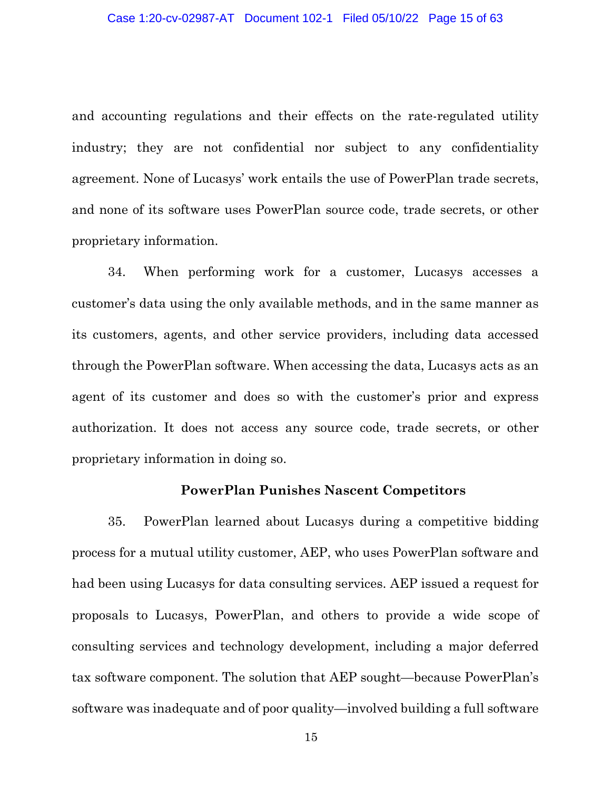and accounting regulations and their effects on the rate-regulated utility industry; they are not confidential nor subject to any confidentiality agreement. None of Lucasys' work entails the use of PowerPlan trade secrets, and none of its software uses PowerPlan source code, trade secrets, or other proprietary information.

34. When performing work for a customer, Lucasys accesses a customer's data using the only available methods, and in the same manner as its customers, agents, and other service providers, including data accessed through the PowerPlan software. When accessing the data, Lucasys acts as an agent of its customer and does so with the customer's prior and express authorization. It does not access any source code, trade secrets, or other proprietary information in doing so.

#### **PowerPlan Punishes Nascent Competitors**

35. PowerPlan learned about Lucasys during a competitive bidding process for a mutual utility customer, AEP, who uses PowerPlan software and had been using Lucasys for data consulting services. AEP issued a request for proposals to Lucasys, PowerPlan, and others to provide a wide scope of consulting services and technology development, including a major deferred tax software component. The solution that AEP sought—because PowerPlan's software was inadequate and of poor quality—involved building a full software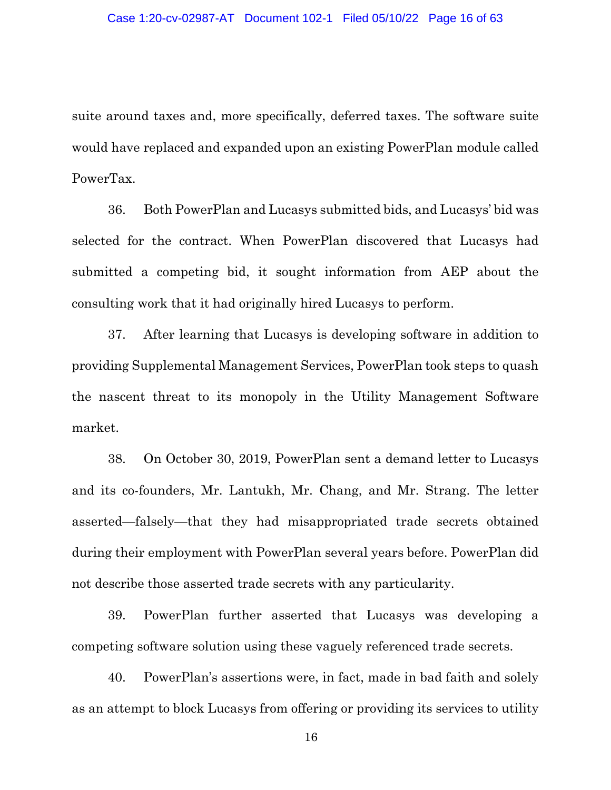suite around taxes and, more specifically, deferred taxes. The software suite would have replaced and expanded upon an existing PowerPlan module called PowerTax.

36. Both PowerPlan and Lucasys submitted bids, and Lucasys' bid was selected for the contract. When PowerPlan discovered that Lucasys had submitted a competing bid, it sought information from AEP about the consulting work that it had originally hired Lucasys to perform.

37. After learning that Lucasys is developing software in addition to providing Supplemental Management Services, PowerPlan took steps to quash the nascent threat to its monopoly in the Utility Management Software market.

38. On October 30, 2019, PowerPlan sent a demand letter to Lucasys and its co-founders, Mr. Lantukh, Mr. Chang, and Mr. Strang. The letter asserted—falsely—that they had misappropriated trade secrets obtained during their employment with PowerPlan several years before. PowerPlan did not describe those asserted trade secrets with any particularity.

39. PowerPlan further asserted that Lucasys was developing a competing software solution using these vaguely referenced trade secrets.

40. PowerPlan's assertions were, in fact, made in bad faith and solely as an attempt to block Lucasys from offering or providing its services to utility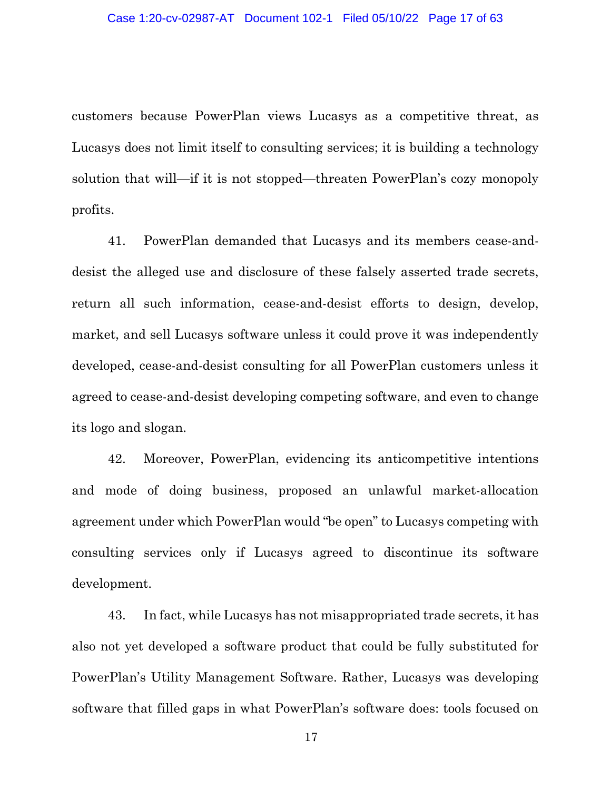customers because PowerPlan views Lucasys as a competitive threat, as Lucasys does not limit itself to consulting services; it is building a technology solution that will—if it is not stopped—threaten PowerPlan's cozy monopoly profits.

41. PowerPlan demanded that Lucasys and its members cease-anddesist the alleged use and disclosure of these falsely asserted trade secrets, return all such information, cease-and-desist efforts to design, develop, market, and sell Lucasys software unless it could prove it was independently developed, cease-and-desist consulting for all PowerPlan customers unless it agreed to cease-and-desist developing competing software, and even to change its logo and slogan.

42. Moreover, PowerPlan, evidencing its anticompetitive intentions and mode of doing business, proposed an unlawful market-allocation agreement under which PowerPlan would "be open" to Lucasys competing with consulting services only if Lucasys agreed to discontinue its software development.

43. In fact, while Lucasys has not misappropriated trade secrets, it has also not yet developed a software product that could be fully substituted for PowerPlan's Utility Management Software. Rather, Lucasys was developing software that filled gaps in what PowerPlan's software does: tools focused on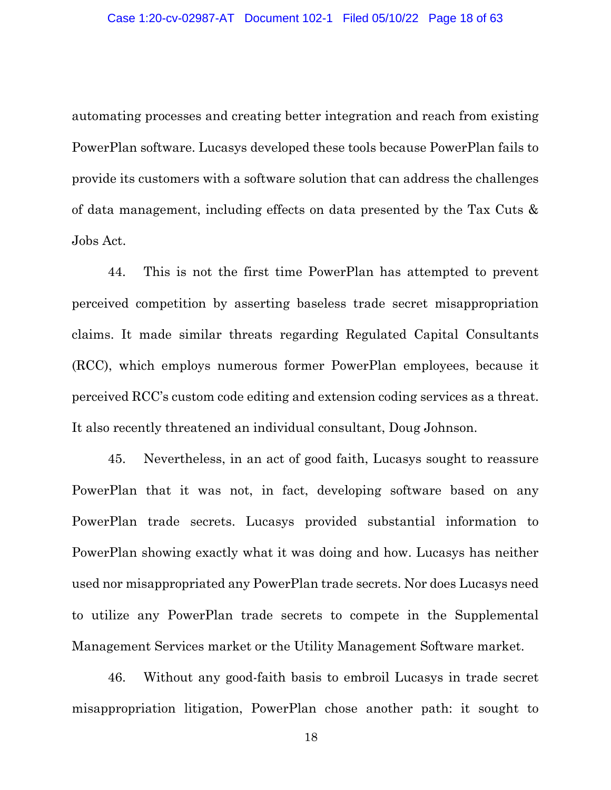automating processes and creating better integration and reach from existing PowerPlan software. Lucasys developed these tools because PowerPlan fails to provide its customers with a software solution that can address the challenges of data management, including effects on data presented by the Tax Cuts & Jobs Act.

44. This is not the first time PowerPlan has attempted to prevent perceived competition by asserting baseless trade secret misappropriation claims. It made similar threats regarding Regulated Capital Consultants (RCC), which employs numerous former PowerPlan employees, because it perceived RCC's custom code editing and extension coding services as a threat. It also recently threatened an individual consultant, Doug Johnson.

45. Nevertheless, in an act of good faith, Lucasys sought to reassure PowerPlan that it was not, in fact, developing software based on any PowerPlan trade secrets. Lucasys provided substantial information to PowerPlan showing exactly what it was doing and how. Lucasys has neither used nor misappropriated any PowerPlan trade secrets. Nor does Lucasys need to utilize any PowerPlan trade secrets to compete in the Supplemental Management Services market or the Utility Management Software market.

46. Without any good-faith basis to embroil Lucasys in trade secret misappropriation litigation, PowerPlan chose another path: it sought to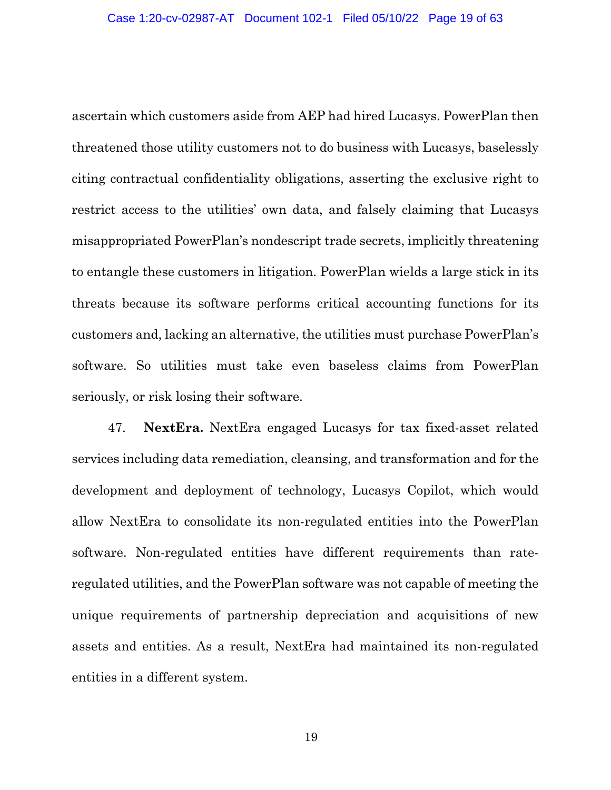ascertain which customers aside from AEP had hired Lucasys. PowerPlan then threatened those utility customers not to do business with Lucasys, baselessly citing contractual confidentiality obligations, asserting the exclusive right to restrict access to the utilities' own data, and falsely claiming that Lucasys misappropriated PowerPlan's nondescript trade secrets, implicitly threatening to entangle these customers in litigation. PowerPlan wields a large stick in its threats because its software performs critical accounting functions for its customers and, lacking an alternative, the utilities must purchase PowerPlan's software. So utilities must take even baseless claims from PowerPlan seriously, or risk losing their software.

47. **NextEra.** NextEra engaged Lucasys for tax fixed-asset related services including data remediation, cleansing, and transformation and for the development and deployment of technology, Lucasys Copilot, which would allow NextEra to consolidate its non-regulated entities into the PowerPlan software. Non-regulated entities have different requirements than rateregulated utilities, and the PowerPlan software was not capable of meeting the unique requirements of partnership depreciation and acquisitions of new assets and entities. As a result, NextEra had maintained its non-regulated entities in a different system.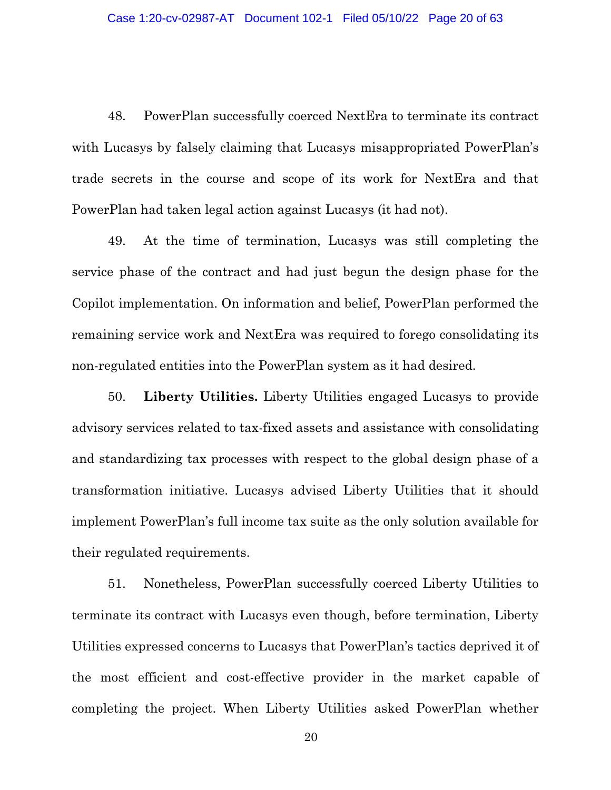48. PowerPlan successfully coerced NextEra to terminate its contract with Lucasys by falsely claiming that Lucasys misappropriated PowerPlan's trade secrets in the course and scope of its work for NextEra and that PowerPlan had taken legal action against Lucasys (it had not).

49. At the time of termination, Lucasys was still completing the service phase of the contract and had just begun the design phase for the Copilot implementation. On information and belief, PowerPlan performed the remaining service work and NextEra was required to forego consolidating its non-regulated entities into the PowerPlan system as it had desired.

50. **Liberty Utilities.** Liberty Utilities engaged Lucasys to provide advisory services related to tax-fixed assets and assistance with consolidating and standardizing tax processes with respect to the global design phase of a transformation initiative. Lucasys advised Liberty Utilities that it should implement PowerPlan's full income tax suite as the only solution available for their regulated requirements.

51. Nonetheless, PowerPlan successfully coerced Liberty Utilities to terminate its contract with Lucasys even though, before termination, Liberty Utilities expressed concerns to Lucasys that PowerPlan's tactics deprived it of the most efficient and cost-effective provider in the market capable of completing the project. When Liberty Utilities asked PowerPlan whether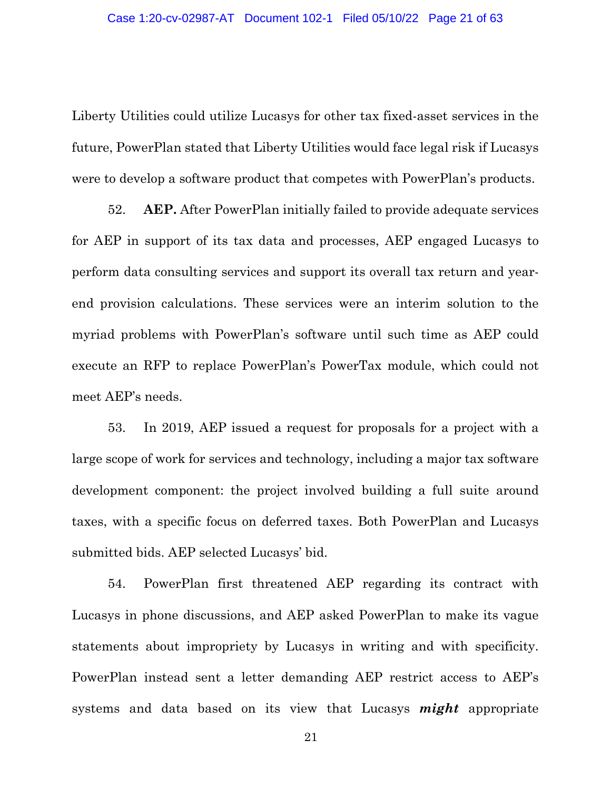Liberty Utilities could utilize Lucasys for other tax fixed-asset services in the future, PowerPlan stated that Liberty Utilities would face legal risk if Lucasys were to develop a software product that competes with PowerPlan's products.

52. **AEP.** After PowerPlan initially failed to provide adequate services for AEP in support of its tax data and processes, AEP engaged Lucasys to perform data consulting services and support its overall tax return and yearend provision calculations. These services were an interim solution to the myriad problems with PowerPlan's software until such time as AEP could execute an RFP to replace PowerPlan's PowerTax module, which could not meet AEP's needs.

53. In 2019, AEP issued a request for proposals for a project with a large scope of work for services and technology, including a major tax software development component: the project involved building a full suite around taxes, with a specific focus on deferred taxes. Both PowerPlan and Lucasys submitted bids. AEP selected Lucasys' bid.

54. PowerPlan first threatened AEP regarding its contract with Lucasys in phone discussions, and AEP asked PowerPlan to make its vague statements about impropriety by Lucasys in writing and with specificity. PowerPlan instead sent a letter demanding AEP restrict access to AEP's systems and data based on its view that Lucasys *might* appropriate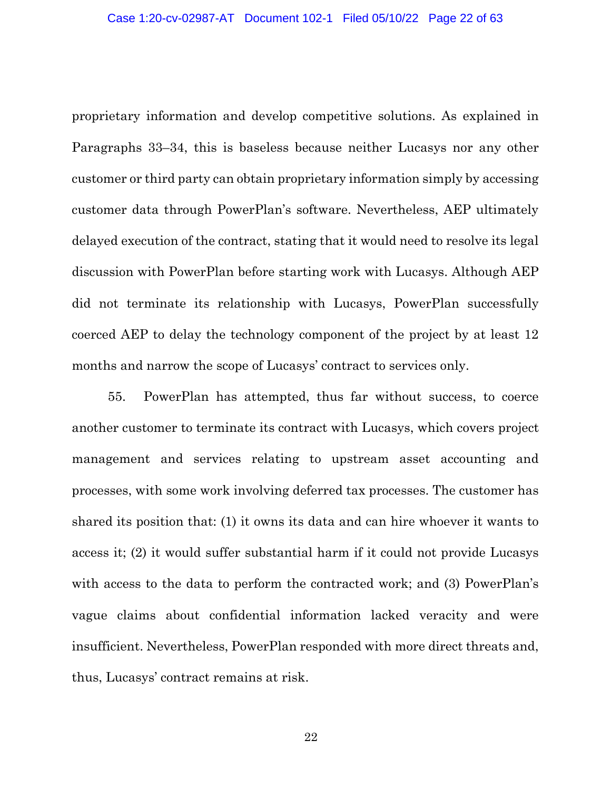proprietary information and develop competitive solutions. As explained in Paragraphs 33–34, this is baseless because neither Lucasys nor any other customer or third party can obtain proprietary information simply by accessing customer data through PowerPlan's software. Nevertheless, AEP ultimately delayed execution of the contract, stating that it would need to resolve its legal discussion with PowerPlan before starting work with Lucasys. Although AEP did not terminate its relationship with Lucasys, PowerPlan successfully coerced AEP to delay the technology component of the project by at least 12 months and narrow the scope of Lucasys' contract to services only.

55. PowerPlan has attempted, thus far without success, to coerce another customer to terminate its contract with Lucasys, which covers project management and services relating to upstream asset accounting and processes, with some work involving deferred tax processes. The customer has shared its position that: (1) it owns its data and can hire whoever it wants to access it; (2) it would suffer substantial harm if it could not provide Lucasys with access to the data to perform the contracted work; and (3) PowerPlan's vague claims about confidential information lacked veracity and were insufficient. Nevertheless, PowerPlan responded with more direct threats and, thus, Lucasys' contract remains at risk.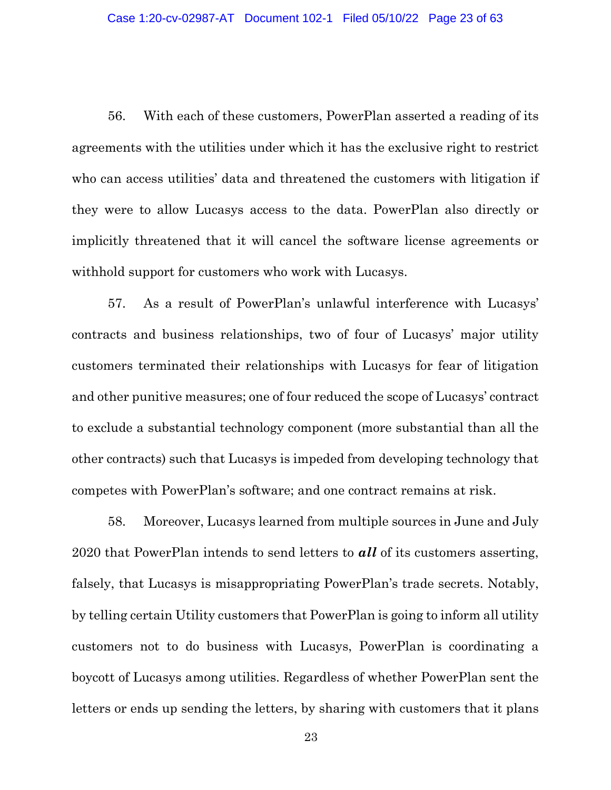56. With each of these customers, PowerPlan asserted a reading of its agreements with the utilities under which it has the exclusive right to restrict who can access utilities' data and threatened the customers with litigation if they were to allow Lucasys access to the data. PowerPlan also directly or implicitly threatened that it will cancel the software license agreements or withhold support for customers who work with Lucasys.

57. As a result of PowerPlan's unlawful interference with Lucasys' contracts and business relationships, two of four of Lucasys' major utility customers terminated their relationships with Lucasys for fear of litigation and other punitive measures; one of four reduced the scope of Lucasys' contract to exclude a substantial technology component (more substantial than all the other contracts) such that Lucasys is impeded from developing technology that competes with PowerPlan's software; and one contract remains at risk.

58. Moreover, Lucasys learned from multiple sources in June and July 2020 that PowerPlan intends to send letters to *all* of its customers asserting, falsely, that Lucasys is misappropriating PowerPlan's trade secrets. Notably, by telling certain Utility customers that PowerPlan is going to inform all utility customers not to do business with Lucasys, PowerPlan is coordinating a boycott of Lucasys among utilities. Regardless of whether PowerPlan sent the letters or ends up sending the letters, by sharing with customers that it plans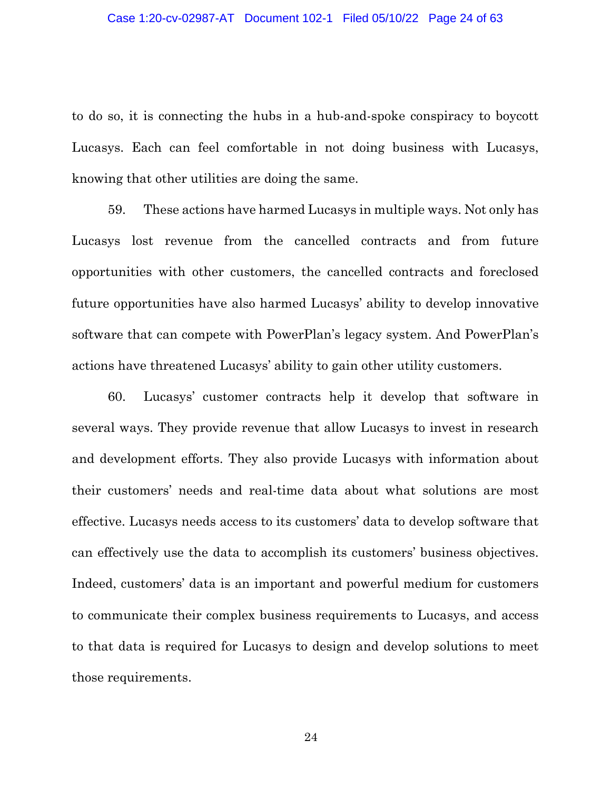to do so, it is connecting the hubs in a hub-and-spoke conspiracy to boycott Lucasys. Each can feel comfortable in not doing business with Lucasys, knowing that other utilities are doing the same.

59. These actions have harmed Lucasys in multiple ways. Not only has Lucasys lost revenue from the cancelled contracts and from future opportunities with other customers, the cancelled contracts and foreclosed future opportunities have also harmed Lucasys' ability to develop innovative software that can compete with PowerPlan's legacy system. And PowerPlan's actions have threatened Lucasys' ability to gain other utility customers.

60. Lucasys' customer contracts help it develop that software in several ways. They provide revenue that allow Lucasys to invest in research and development efforts. They also provide Lucasys with information about their customers' needs and real-time data about what solutions are most effective. Lucasys needs access to its customers' data to develop software that can effectively use the data to accomplish its customers' business objectives. Indeed, customers' data is an important and powerful medium for customers to communicate their complex business requirements to Lucasys, and access to that data is required for Lucasys to design and develop solutions to meet those requirements.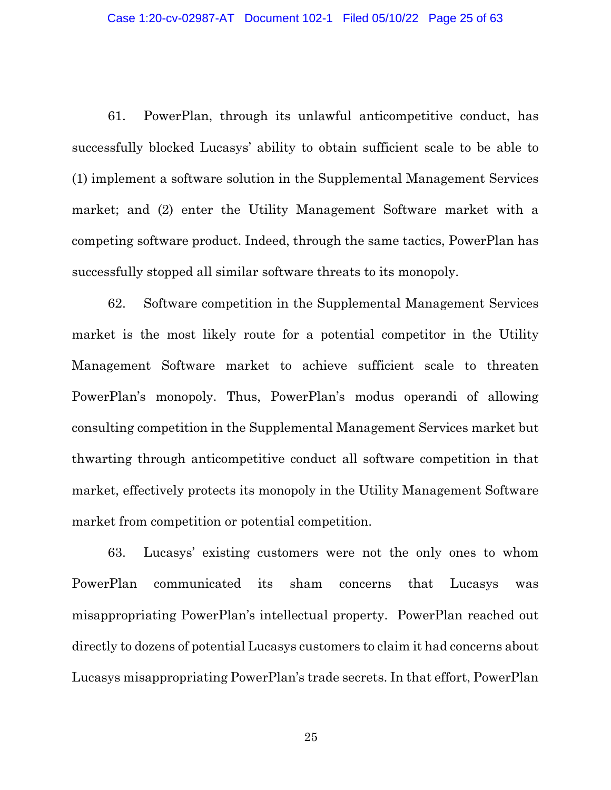61. PowerPlan, through its unlawful anticompetitive conduct, has successfully blocked Lucasys' ability to obtain sufficient scale to be able to (1) implement a software solution in the Supplemental Management Services market; and (2) enter the Utility Management Software market with a competing software product. Indeed, through the same tactics, PowerPlan has successfully stopped all similar software threats to its monopoly.

62. Software competition in the Supplemental Management Services market is the most likely route for a potential competitor in the Utility Management Software market to achieve sufficient scale to threaten PowerPlan's monopoly. Thus, PowerPlan's modus operandi of allowing consulting competition in the Supplemental Management Services market but thwarting through anticompetitive conduct all software competition in that market, effectively protects its monopoly in the Utility Management Software market from competition or potential competition.

63. Lucasys' existing customers were not the only ones to whom PowerPlan communicated its sham concerns that Lucasys was misappropriating PowerPlan's intellectual property. PowerPlan reached out directly to dozens of potential Lucasys customers to claim it had concerns about Lucasys misappropriating PowerPlan's trade secrets. In that effort, PowerPlan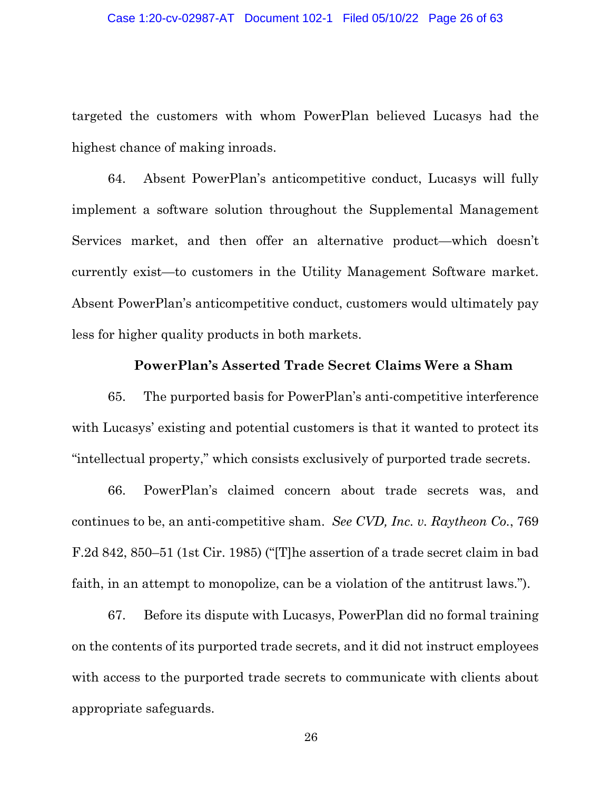targeted the customers with whom PowerPlan believed Lucasys had the highest chance of making inroads.

64. Absent PowerPlan's anticompetitive conduct, Lucasys will fully implement a software solution throughout the Supplemental Management Services market, and then offer an alternative product—which doesn't currently exist—to customers in the Utility Management Software market. Absent PowerPlan's anticompetitive conduct, customers would ultimately pay less for higher quality products in both markets.

### **PowerPlan's Asserted Trade Secret Claims Were a Sham**

65. The purported basis for PowerPlan's anti-competitive interference with Lucasys' existing and potential customers is that it wanted to protect its "intellectual property," which consists exclusively of purported trade secrets.

66. PowerPlan's claimed concern about trade secrets was, and continues to be, an anti-competitive sham. *See CVD, Inc. v. Raytheon Co.*, 769 F.2d 842, 850–51 (1st Cir. 1985) ("[T]he assertion of a trade secret claim in bad faith, in an attempt to monopolize, can be a violation of the antitrust laws.").

67. Before its dispute with Lucasys, PowerPlan did no formal training on the contents of its purported trade secrets, and it did not instruct employees with access to the purported trade secrets to communicate with clients about appropriate safeguards.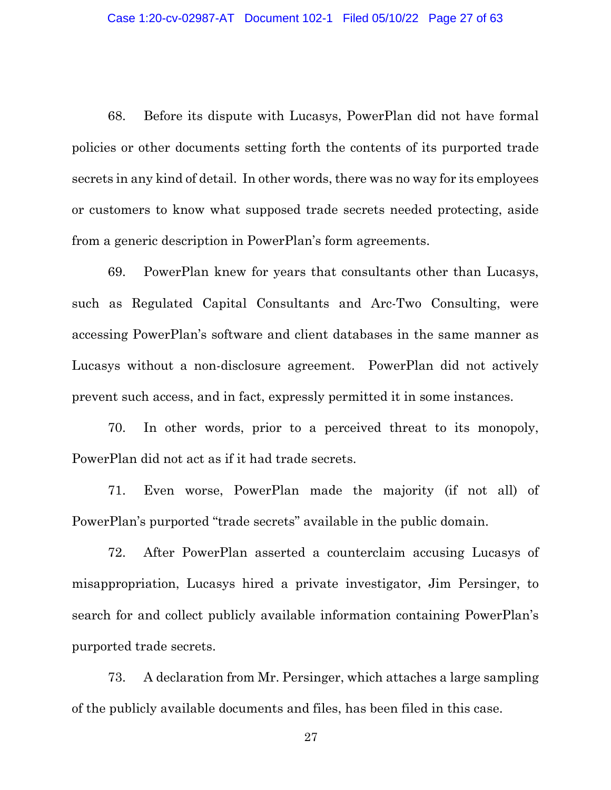68. Before its dispute with Lucasys, PowerPlan did not have formal policies or other documents setting forth the contents of its purported trade secrets in any kind of detail. In other words, there was no way for its employees or customers to know what supposed trade secrets needed protecting, aside from a generic description in PowerPlan's form agreements.

69. PowerPlan knew for years that consultants other than Lucasys, such as Regulated Capital Consultants and Arc-Two Consulting, were accessing PowerPlan's software and client databases in the same manner as Lucasys without a non-disclosure agreement. PowerPlan did not actively prevent such access, and in fact, expressly permitted it in some instances.

70. In other words, prior to a perceived threat to its monopoly, PowerPlan did not act as if it had trade secrets.

71. Even worse, PowerPlan made the majority (if not all) of PowerPlan's purported "trade secrets" available in the public domain.

72. After PowerPlan asserted a counterclaim accusing Lucasys of misappropriation, Lucasys hired a private investigator, Jim Persinger, to search for and collect publicly available information containing PowerPlan's purported trade secrets.

73. A declaration from Mr. Persinger, which attaches a large sampling of the publicly available documents and files, has been filed in this case.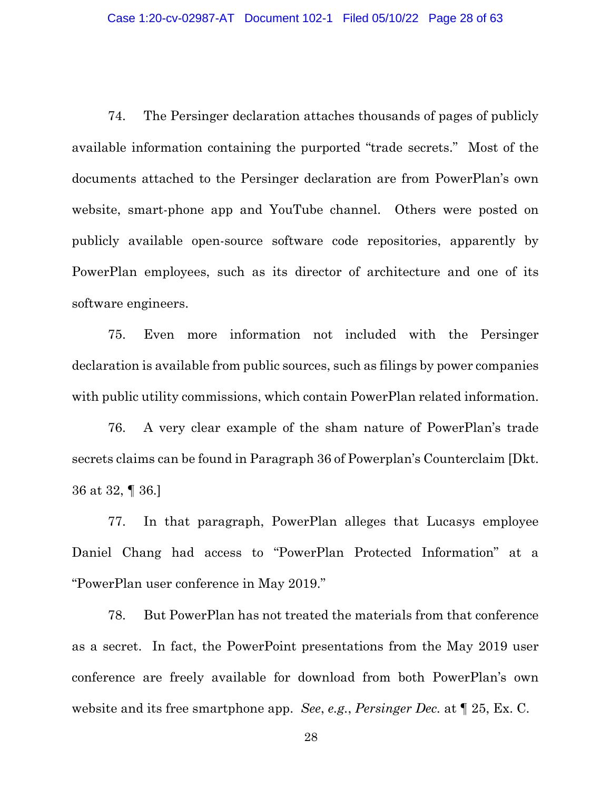74. The Persinger declaration attaches thousands of pages of publicly available information containing the purported "trade secrets." Most of the documents attached to the Persinger declaration are from PowerPlan's own website, smart-phone app and YouTube channel. Others were posted on publicly available open-source software code repositories, apparently by PowerPlan employees, such as its director of architecture and one of its software engineers.

75. Even more information not included with the Persinger declaration is available from public sources, such as filings by power companies with public utility commissions, which contain PowerPlan related information.

76. A very clear example of the sham nature of PowerPlan's trade secrets claims can be found in Paragraph 36 of Powerplan's Counterclaim [Dkt. 36 at 32, ¶ 36.]

77. In that paragraph, PowerPlan alleges that Lucasys employee Daniel Chang had access to "PowerPlan Protected Information" at a "PowerPlan user conference in May 2019."

78. But PowerPlan has not treated the materials from that conference as a secret. In fact, the PowerPoint presentations from the May 2019 user conference are freely available for download from both PowerPlan's own website and its free smartphone app. *See*, *e.g.*, *Persinger Dec.* at ¶ 25, Ex. C.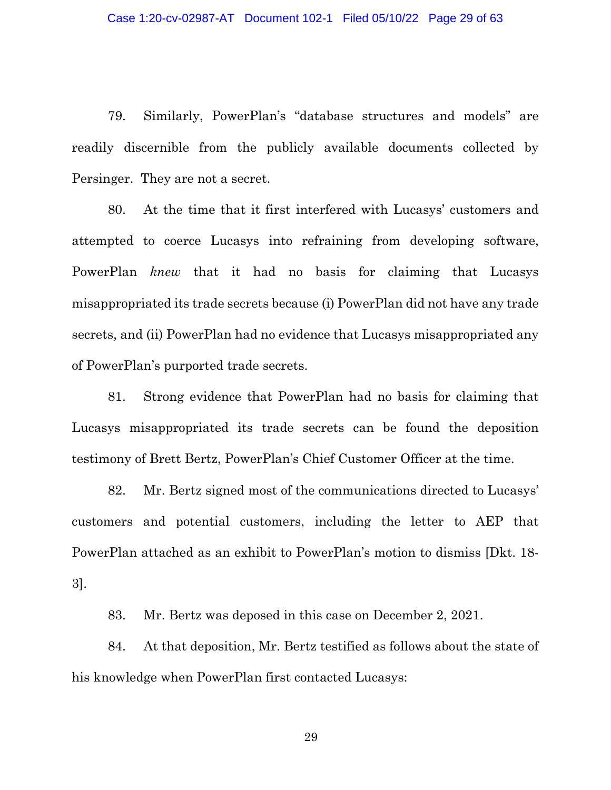79. Similarly, PowerPlan's "database structures and models" are readily discernible from the publicly available documents collected by Persinger. They are not a secret.

80. At the time that it first interfered with Lucasys' customers and attempted to coerce Lucasys into refraining from developing software, PowerPlan *knew* that it had no basis for claiming that Lucasys misappropriated its trade secrets because (i) PowerPlan did not have any trade secrets, and (ii) PowerPlan had no evidence that Lucasys misappropriated any of PowerPlan's purported trade secrets.

81. Strong evidence that PowerPlan had no basis for claiming that Lucasys misappropriated its trade secrets can be found the deposition testimony of Brett Bertz, PowerPlan's Chief Customer Officer at the time.

82. Mr. Bertz signed most of the communications directed to Lucasys' customers and potential customers, including the letter to AEP that PowerPlan attached as an exhibit to PowerPlan's motion to dismiss [Dkt. 18- 3].

83. Mr. Bertz was deposed in this case on December 2, 2021.

84. At that deposition, Mr. Bertz testified as follows about the state of his knowledge when PowerPlan first contacted Lucasys: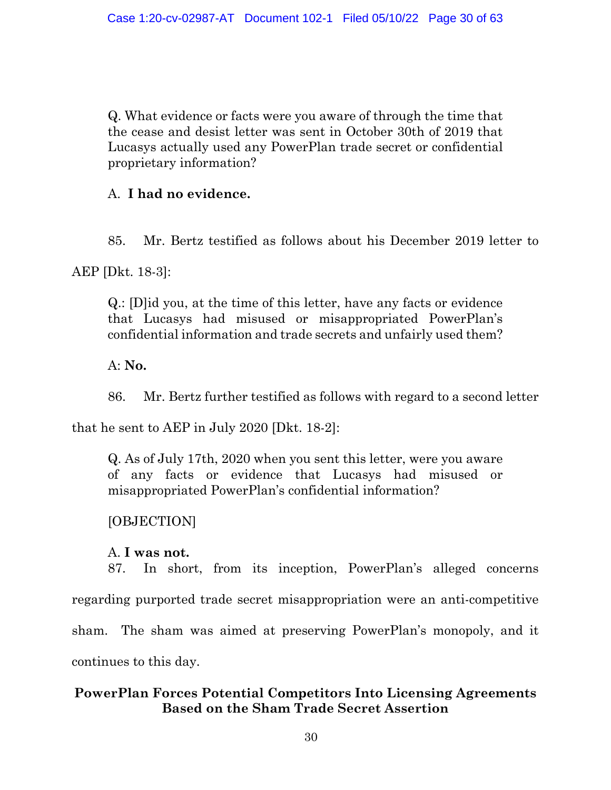Q. What evidence or facts were you aware of through the time that the cease and desist letter was sent in October 30th of 2019 that Lucasys actually used any PowerPlan trade secret or confidential proprietary information?

# A. **I had no evidence.**

85. Mr. Bertz testified as follows about his December 2019 letter to

AEP [Dkt. 18-3]:

Q.: [D]id you, at the time of this letter, have any facts or evidence that Lucasys had misused or misappropriated PowerPlan's confidential information and trade secrets and unfairly used them?

A: **No.**

86. Mr. Bertz further testified as follows with regard to a second letter

that he sent to AEP in July 2020 [Dkt. 18-2]:

Q. As of July 17th, 2020 when you sent this letter, were you aware of any facts or evidence that Lucasys had misused or misappropriated PowerPlan's confidential information?

[OBJECTION]

### A. **I was not.**

87. In short, from its inception, PowerPlan's alleged concerns

regarding purported trade secret misappropriation were an anti-competitive

sham. The sham was aimed at preserving PowerPlan's monopoly, and it

continues to this day.

# **PowerPlan Forces Potential Competitors Into Licensing Agreements Based on the Sham Trade Secret Assertion**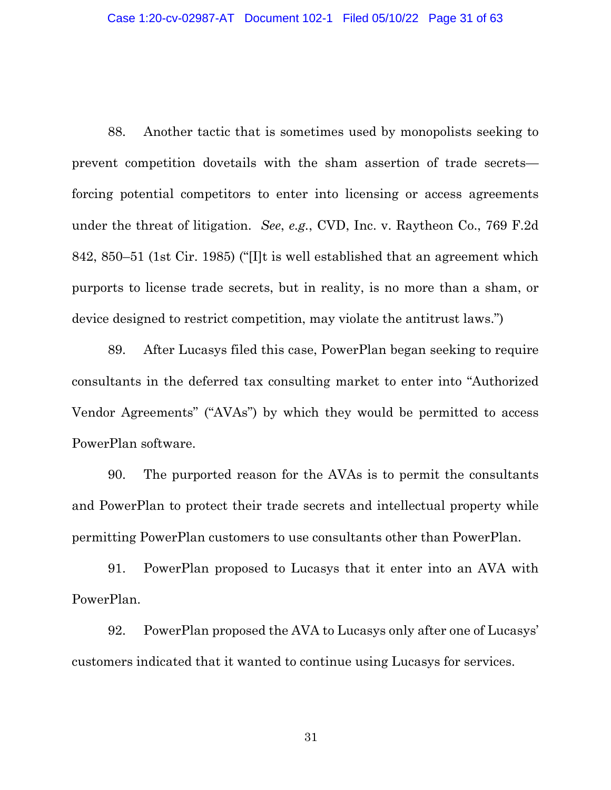88. Another tactic that is sometimes used by monopolists seeking to prevent competition dovetails with the sham assertion of trade secrets forcing potential competitors to enter into licensing or access agreements under the threat of litigation. *See*, *e.g.*, CVD, Inc. v. Raytheon Co., 769 F.2d 842, 850–51 (1st Cir. 1985) ("[I]t is well established that an agreement which purports to license trade secrets, but in reality, is no more than a sham, or device designed to restrict competition, may violate the antitrust laws.")

89. After Lucasys filed this case, PowerPlan began seeking to require consultants in the deferred tax consulting market to enter into "Authorized Vendor Agreements" ("AVAs") by which they would be permitted to access PowerPlan software.

90. The purported reason for the AVAs is to permit the consultants and PowerPlan to protect their trade secrets and intellectual property while permitting PowerPlan customers to use consultants other than PowerPlan.

91. PowerPlan proposed to Lucasys that it enter into an AVA with PowerPlan.

92. PowerPlan proposed the AVA to Lucasys only after one of Lucasys' customers indicated that it wanted to continue using Lucasys for services.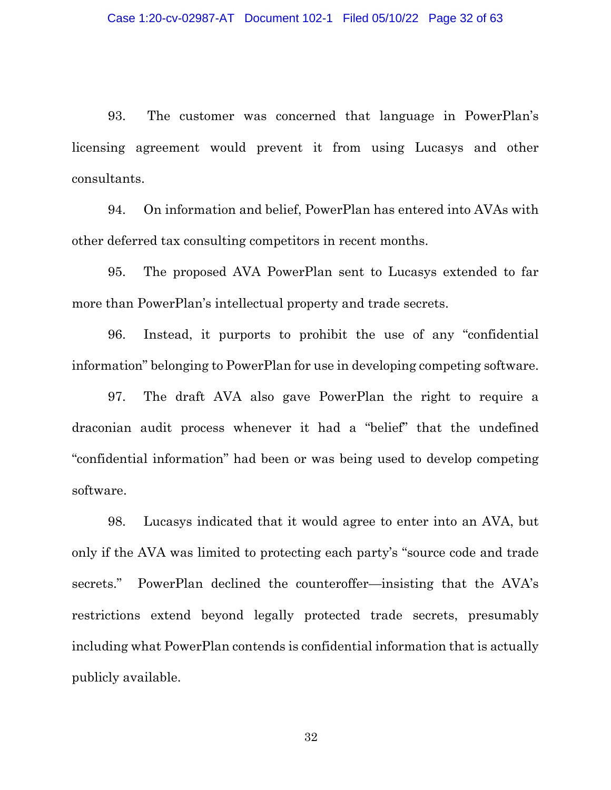93. The customer was concerned that language in PowerPlan's licensing agreement would prevent it from using Lucasys and other consultants.

94. On information and belief, PowerPlan has entered into AVAs with other deferred tax consulting competitors in recent months.

95. The proposed AVA PowerPlan sent to Lucasys extended to far more than PowerPlan's intellectual property and trade secrets.

96. Instead, it purports to prohibit the use of any "confidential information" belonging to PowerPlan for use in developing competing software.

97. The draft AVA also gave PowerPlan the right to require a draconian audit process whenever it had a "belief" that the undefined "confidential information" had been or was being used to develop competing software.

98. Lucasys indicated that it would agree to enter into an AVA, but only if the AVA was limited to protecting each party's "source code and trade secrets." PowerPlan declined the counteroffer—insisting that the AVA's restrictions extend beyond legally protected trade secrets, presumably including what PowerPlan contends is confidential information that is actually publicly available.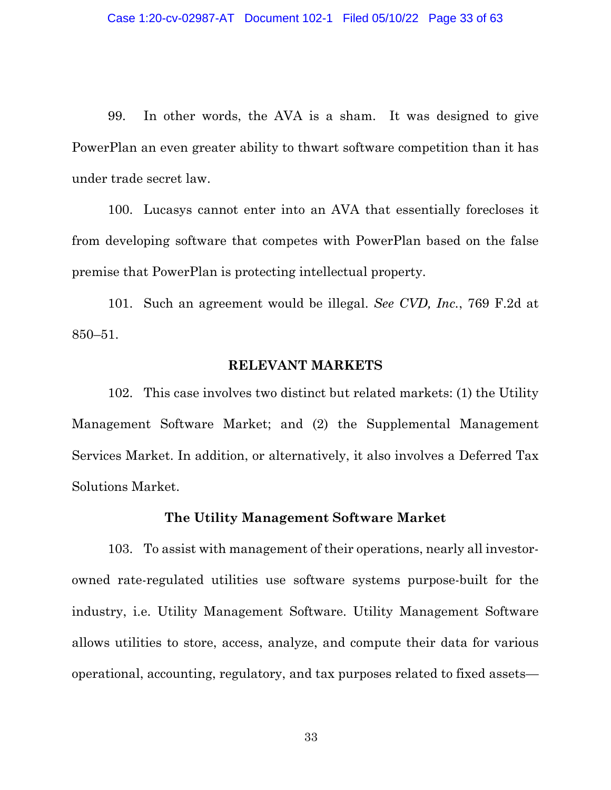99. In other words, the AVA is a sham. It was designed to give PowerPlan an even greater ability to thwart software competition than it has under trade secret law.

100. Lucasys cannot enter into an AVA that essentially forecloses it from developing software that competes with PowerPlan based on the false premise that PowerPlan is protecting intellectual property.

101. Such an agreement would be illegal. *See CVD, Inc.*, 769 F.2d at 850–51.

#### **RELEVANT MARKETS**

102. This case involves two distinct but related markets: (1) the Utility Management Software Market; and (2) the Supplemental Management Services Market. In addition, or alternatively, it also involves a Deferred Tax Solutions Market.

#### **The Utility Management Software Market**

103. To assist with management of their operations, nearly all investorowned rate-regulated utilities use software systems purpose-built for the industry, i.e. Utility Management Software. Utility Management Software allows utilities to store, access, analyze, and compute their data for various operational, accounting, regulatory, and tax purposes related to fixed assets—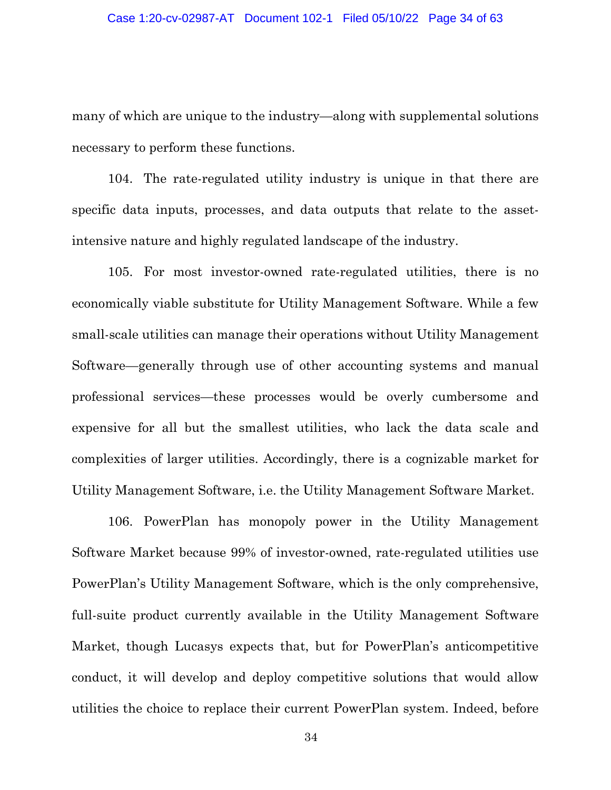many of which are unique to the industry—along with supplemental solutions necessary to perform these functions.

104. The rate-regulated utility industry is unique in that there are specific data inputs, processes, and data outputs that relate to the assetintensive nature and highly regulated landscape of the industry.

105. For most investor-owned rate-regulated utilities, there is no economically viable substitute for Utility Management Software. While a few small-scale utilities can manage their operations without Utility Management Software—generally through use of other accounting systems and manual professional services—these processes would be overly cumbersome and expensive for all but the smallest utilities, who lack the data scale and complexities of larger utilities. Accordingly, there is a cognizable market for Utility Management Software, i.e. the Utility Management Software Market.

106. PowerPlan has monopoly power in the Utility Management Software Market because 99% of investor-owned, rate-regulated utilities use PowerPlan's Utility Management Software, which is the only comprehensive, full-suite product currently available in the Utility Management Software Market, though Lucasys expects that, but for PowerPlan's anticompetitive conduct, it will develop and deploy competitive solutions that would allow utilities the choice to replace their current PowerPlan system. Indeed, before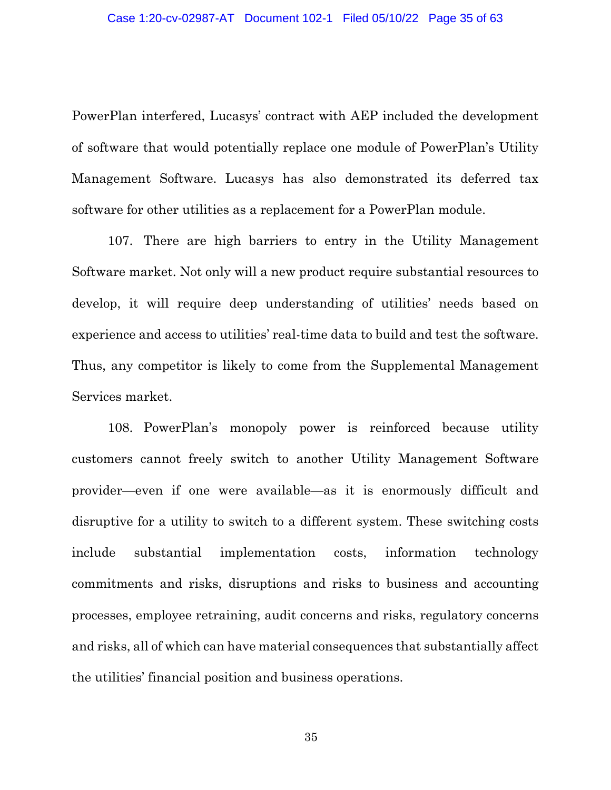PowerPlan interfered, Lucasys' contract with AEP included the development of software that would potentially replace one module of PowerPlan's Utility Management Software. Lucasys has also demonstrated its deferred tax software for other utilities as a replacement for a PowerPlan module.

107. There are high barriers to entry in the Utility Management Software market. Not only will a new product require substantial resources to develop, it will require deep understanding of utilities' needs based on experience and access to utilities' real-time data to build and test the software. Thus, any competitor is likely to come from the Supplemental Management Services market.

108. PowerPlan's monopoly power is reinforced because utility customers cannot freely switch to another Utility Management Software provider—even if one were available—as it is enormously difficult and disruptive for a utility to switch to a different system. These switching costs include substantial implementation costs, information technology commitments and risks, disruptions and risks to business and accounting processes, employee retraining, audit concerns and risks, regulatory concerns and risks, all of which can have material consequences that substantially affect the utilities' financial position and business operations.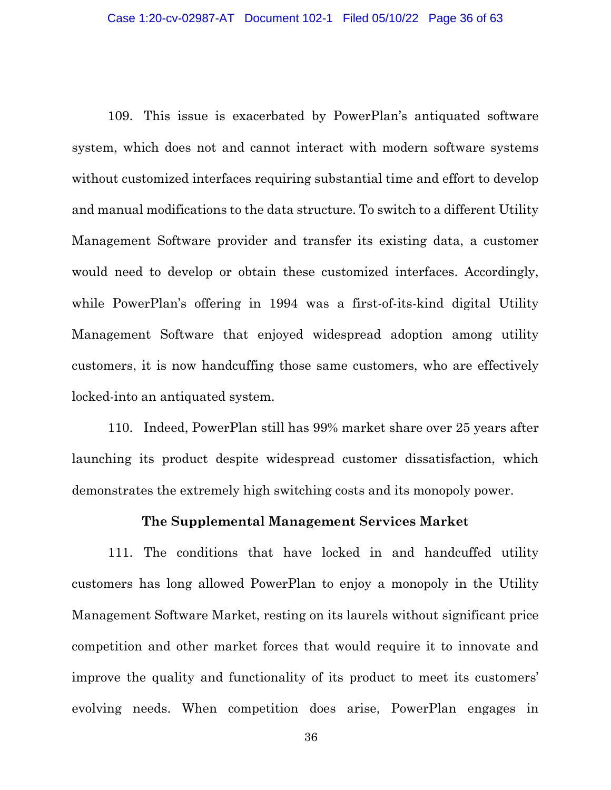109. This issue is exacerbated by PowerPlan's antiquated software system, which does not and cannot interact with modern software systems without customized interfaces requiring substantial time and effort to develop and manual modifications to the data structure. To switch to a different Utility Management Software provider and transfer its existing data, a customer would need to develop or obtain these customized interfaces. Accordingly, while PowerPlan's offering in 1994 was a first-of-its-kind digital Utility Management Software that enjoyed widespread adoption among utility customers, it is now handcuffing those same customers, who are effectively locked-into an antiquated system.

110. Indeed, PowerPlan still has 99% market share over 25 years after launching its product despite widespread customer dissatisfaction, which demonstrates the extremely high switching costs and its monopoly power.

### **The Supplemental Management Services Market**

111. The conditions that have locked in and handcuffed utility customers has long allowed PowerPlan to enjoy a monopoly in the Utility Management Software Market, resting on its laurels without significant price competition and other market forces that would require it to innovate and improve the quality and functionality of its product to meet its customers' evolving needs. When competition does arise, PowerPlan engages in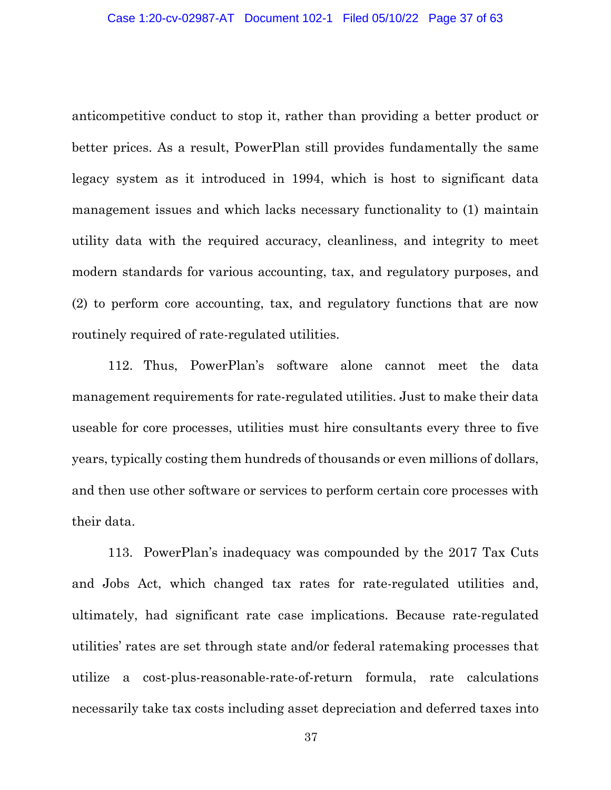anticompetitive conduct to stop it, rather than providing a better product or better prices. As a result, PowerPlan still provides fundamentally the same legacy system as it introduced in 1994, which is host to significant data management issues and which lacks necessary functionality to (1) maintain utility data with the required accuracy, cleanliness, and integrity to meet modern standards for various accounting, tax, and regulatory purposes, and (2) to perform core accounting, tax, and regulatory functions that are now routinely required of rate-regulated utilities.

112. Thus, PowerPlan's software alone cannot meet the data management requirements for rate-regulated utilities. Just to make their data useable for core processes, utilities must hire consultants every three to five years, typically costing them hundreds of thousands or even millions of dollars, and then use other software or services to perform certain core processes with their data.

113. PowerPlan's inadequacy was compounded by the 2017 Tax Cuts and Jobs Act, which changed tax rates for rate-regulated utilities and, ultimately, had significant rate case implications. Because rate-regulated utilities' rates are set through state and/or federal ratemaking processes that utilize a cost-plus-reasonable-rate-of-return formula, rate calculations necessarily take tax costs including asset depreciation and deferred taxes into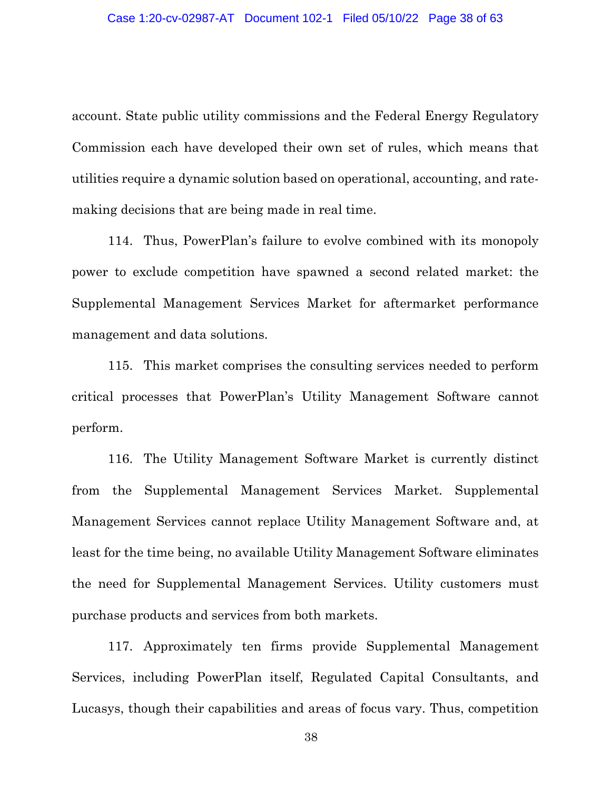account. State public utility commissions and the Federal Energy Regulatory Commission each have developed their own set of rules, which means that utilities require a dynamic solution based on operational, accounting, and ratemaking decisions that are being made in real time.

114. Thus, PowerPlan's failure to evolve combined with its monopoly power to exclude competition have spawned a second related market: the Supplemental Management Services Market for aftermarket performance management and data solutions.

115. This market comprises the consulting services needed to perform critical processes that PowerPlan's Utility Management Software cannot perform.

116. The Utility Management Software Market is currently distinct from the Supplemental Management Services Market. Supplemental Management Services cannot replace Utility Management Software and, at least for the time being, no available Utility Management Software eliminates the need for Supplemental Management Services. Utility customers must purchase products and services from both markets.

117. Approximately ten firms provide Supplemental Management Services, including PowerPlan itself, Regulated Capital Consultants, and Lucasys, though their capabilities and areas of focus vary. Thus, competition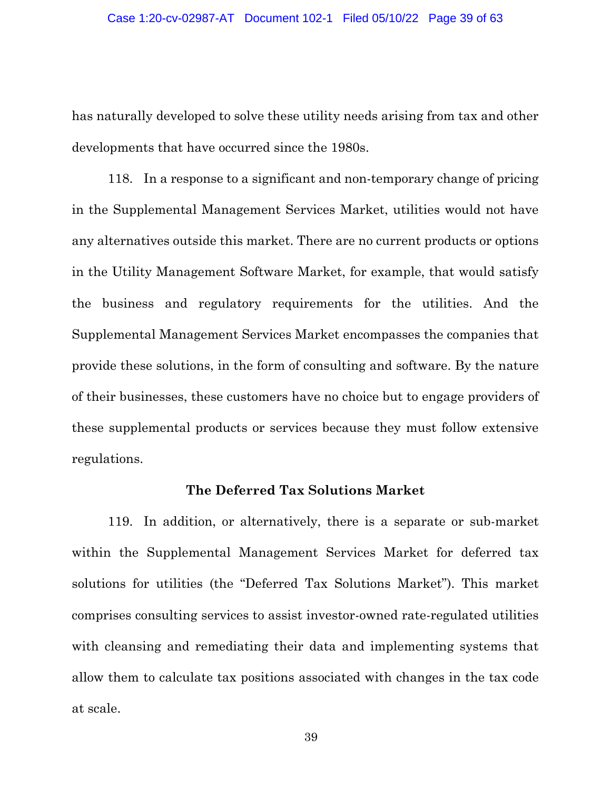has naturally developed to solve these utility needs arising from tax and other developments that have occurred since the 1980s.

118. In a response to a significant and non-temporary change of pricing in the Supplemental Management Services Market, utilities would not have any alternatives outside this market. There are no current products or options in the Utility Management Software Market, for example, that would satisfy the business and regulatory requirements for the utilities. And the Supplemental Management Services Market encompasses the companies that provide these solutions, in the form of consulting and software. By the nature of their businesses, these customers have no choice but to engage providers of these supplemental products or services because they must follow extensive regulations.

# **The Deferred Tax Solutions Market**

119. In addition, or alternatively, there is a separate or sub-market within the Supplemental Management Services Market for deferred tax solutions for utilities (the "Deferred Tax Solutions Market"). This market comprises consulting services to assist investor-owned rate-regulated utilities with cleansing and remediating their data and implementing systems that allow them to calculate tax positions associated with changes in the tax code at scale.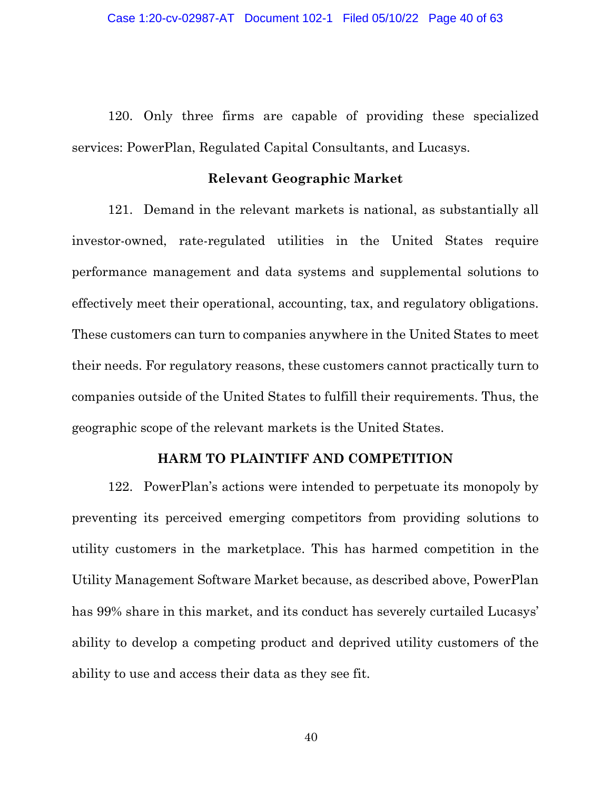120. Only three firms are capable of providing these specialized services: PowerPlan, Regulated Capital Consultants, and Lucasys.

#### **Relevant Geographic Market**

121. Demand in the relevant markets is national, as substantially all investor-owned, rate-regulated utilities in the United States require performance management and data systems and supplemental solutions to effectively meet their operational, accounting, tax, and regulatory obligations. These customers can turn to companies anywhere in the United States to meet their needs. For regulatory reasons, these customers cannot practically turn to companies outside of the United States to fulfill their requirements. Thus, the geographic scope of the relevant markets is the United States.

### **HARM TO PLAINTIFF AND COMPETITION**

122. PowerPlan's actions were intended to perpetuate its monopoly by preventing its perceived emerging competitors from providing solutions to utility customers in the marketplace. This has harmed competition in the Utility Management Software Market because, as described above, PowerPlan has 99% share in this market, and its conduct has severely curtailed Lucasys' ability to develop a competing product and deprived utility customers of the ability to use and access their data as they see fit.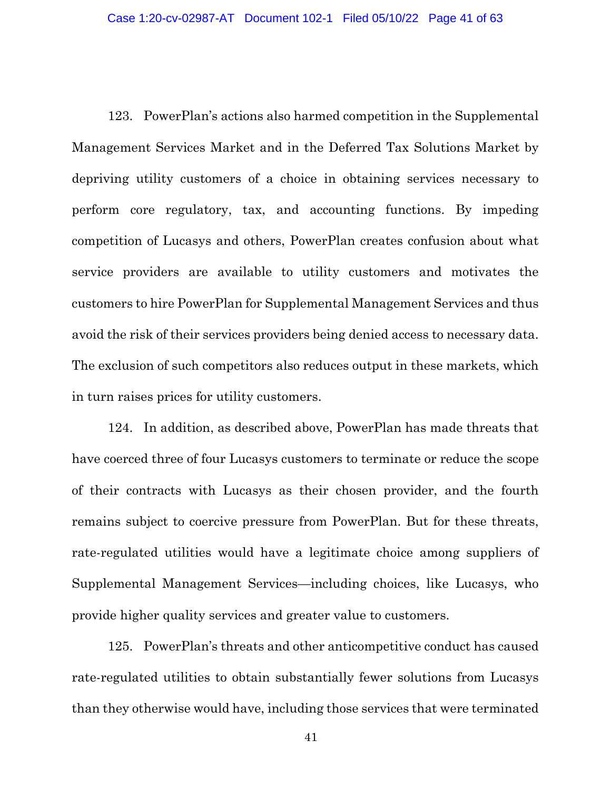123. PowerPlan's actions also harmed competition in the Supplemental Management Services Market and in the Deferred Tax Solutions Market by depriving utility customers of a choice in obtaining services necessary to perform core regulatory, tax, and accounting functions. By impeding competition of Lucasys and others, PowerPlan creates confusion about what service providers are available to utility customers and motivates the customers to hire PowerPlan for Supplemental Management Services and thus avoid the risk of their services providers being denied access to necessary data. The exclusion of such competitors also reduces output in these markets, which in turn raises prices for utility customers.

124. In addition, as described above, PowerPlan has made threats that have coerced three of four Lucasys customers to terminate or reduce the scope of their contracts with Lucasys as their chosen provider, and the fourth remains subject to coercive pressure from PowerPlan. But for these threats, rate-regulated utilities would have a legitimate choice among suppliers of Supplemental Management Services—including choices, like Lucasys, who provide higher quality services and greater value to customers.

125. PowerPlan's threats and other anticompetitive conduct has caused rate-regulated utilities to obtain substantially fewer solutions from Lucasys than they otherwise would have, including those services that were terminated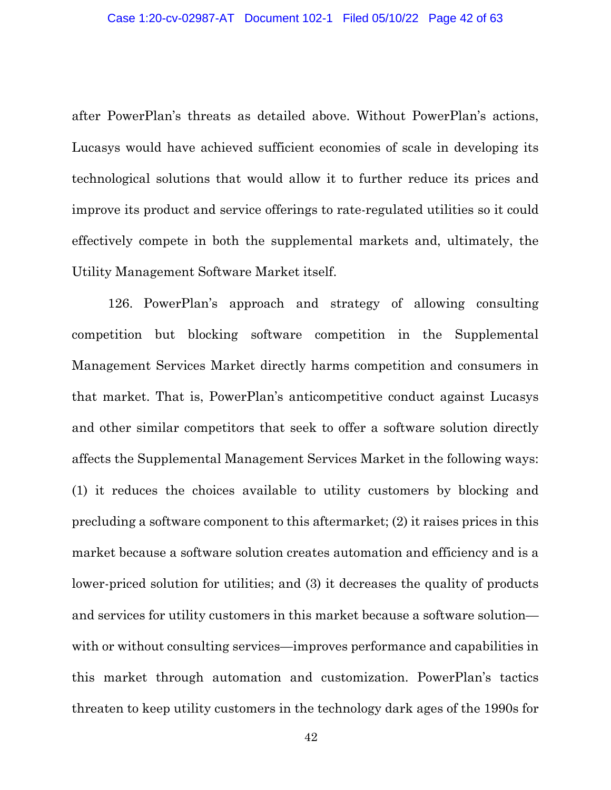after PowerPlan's threats as detailed above. Without PowerPlan's actions, Lucasys would have achieved sufficient economies of scale in developing its technological solutions that would allow it to further reduce its prices and improve its product and service offerings to rate-regulated utilities so it could effectively compete in both the supplemental markets and, ultimately, the Utility Management Software Market itself.

126. PowerPlan's approach and strategy of allowing consulting competition but blocking software competition in the Supplemental Management Services Market directly harms competition and consumers in that market. That is, PowerPlan's anticompetitive conduct against Lucasys and other similar competitors that seek to offer a software solution directly affects the Supplemental Management Services Market in the following ways: (1) it reduces the choices available to utility customers by blocking and precluding a software component to this aftermarket; (2) it raises prices in this market because a software solution creates automation and efficiency and is a lower-priced solution for utilities; and (3) it decreases the quality of products and services for utility customers in this market because a software solution with or without consulting services—improves performance and capabilities in this market through automation and customization. PowerPlan's tactics threaten to keep utility customers in the technology dark ages of the 1990s for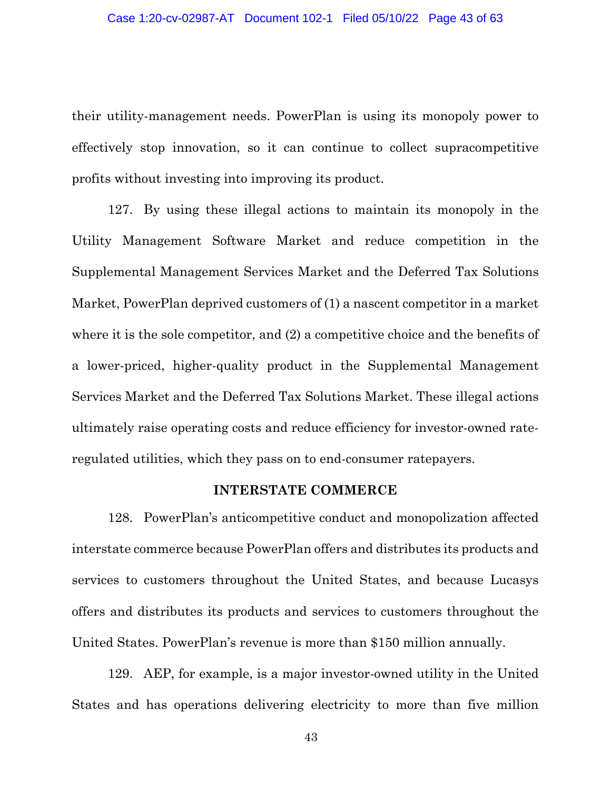their utility-management needs. PowerPlan is using its monopoly power to effectively stop innovation, so it can continue to collect supracompetitive profits without investing into improving its product.

127. By using these illegal actions to maintain its monopoly in the Utility Management Software Market and reduce competition in the Supplemental Management Services Market and the Deferred Tax Solutions Market, PowerPlan deprived customers of (1) a nascent competitor in a market where it is the sole competitor, and (2) a competitive choice and the benefits of a lower-priced, higher-quality product in the Supplemental Management Services Market and the Deferred Tax Solutions Market. These illegal actions ultimately raise operating costs and reduce efficiency for investor-owned rateregulated utilities, which they pass on to end-consumer ratepayers.

### **INTERSTATE COMMERCE**

128. PowerPlan's anticompetitive conduct and monopolization affected interstate commerce because PowerPlan offers and distributes its products and services to customers throughout the United States, and because Lucasys offers and distributes its products and services to customers throughout the United States. PowerPlan's revenue is more than \$150 million annually.

129. AEP, for example, is a major investor-owned utility in the United States and has operations delivering electricity to more than five million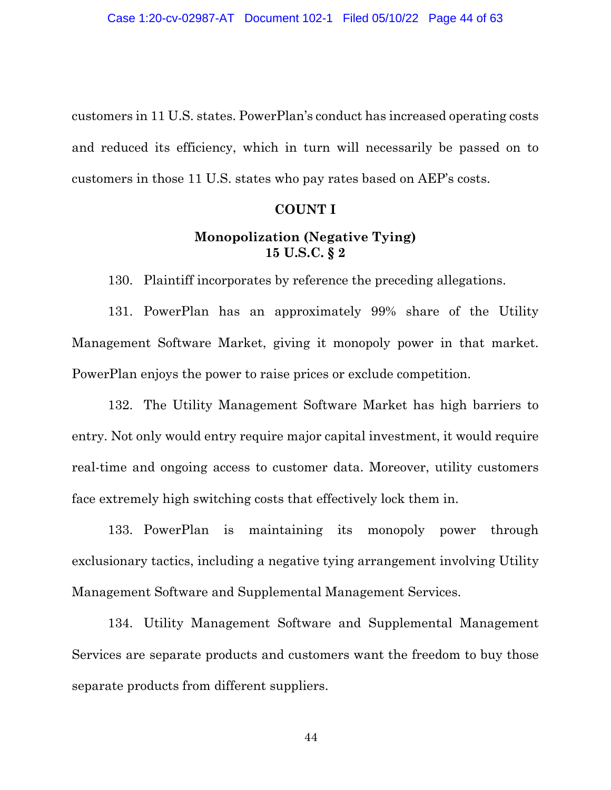customers in 11 U.S. states. PowerPlan's conduct has increased operating costs and reduced its efficiency, which in turn will necessarily be passed on to customers in those 11 U.S. states who pay rates based on AEP's costs.

### **COUNT I**

# **Monopolization (Negative Tying) 15 U.S.C. § 2**

130. Plaintiff incorporates by reference the preceding allegations.

131. PowerPlan has an approximately 99% share of the Utility Management Software Market, giving it monopoly power in that market. PowerPlan enjoys the power to raise prices or exclude competition.

132. The Utility Management Software Market has high barriers to entry. Not only would entry require major capital investment, it would require real-time and ongoing access to customer data. Moreover, utility customers face extremely high switching costs that effectively lock them in.

133. PowerPlan is maintaining its monopoly power through exclusionary tactics, including a negative tying arrangement involving Utility Management Software and Supplemental Management Services.

134. Utility Management Software and Supplemental Management Services are separate products and customers want the freedom to buy those separate products from different suppliers.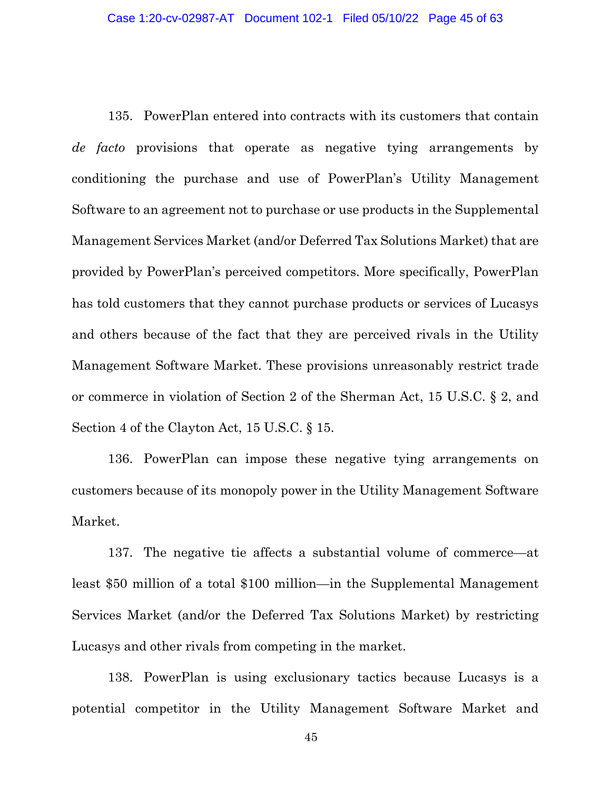135. PowerPlan entered into contracts with its customers that contain *de facto* provisions that operate as negative tying arrangements by conditioning the purchase and use of PowerPlan's Utility Management Software to an agreement not to purchase or use products in the Supplemental Management Services Market (and/or Deferred Tax Solutions Market) that are provided by PowerPlan's perceived competitors. More specifically, PowerPlan has told customers that they cannot purchase products or services of Lucasys and others because of the fact that they are perceived rivals in the Utility Management Software Market. These provisions unreasonably restrict trade or commerce in violation of Section 2 of the Sherman Act, 15 U.S.C. § 2, and Section 4 of the Clayton Act, 15 U.S.C. § 15.

136. PowerPlan can impose these negative tying arrangements on customers because of its monopoly power in the Utility Management Software Market.

137. The negative tie affects a substantial volume of commerce—at least \$50 million of a total \$100 million—in the Supplemental Management Services Market (and/or the Deferred Tax Solutions Market) by restricting Lucasys and other rivals from competing in the market.

138. PowerPlan is using exclusionary tactics because Lucasys is a potential competitor in the Utility Management Software Market and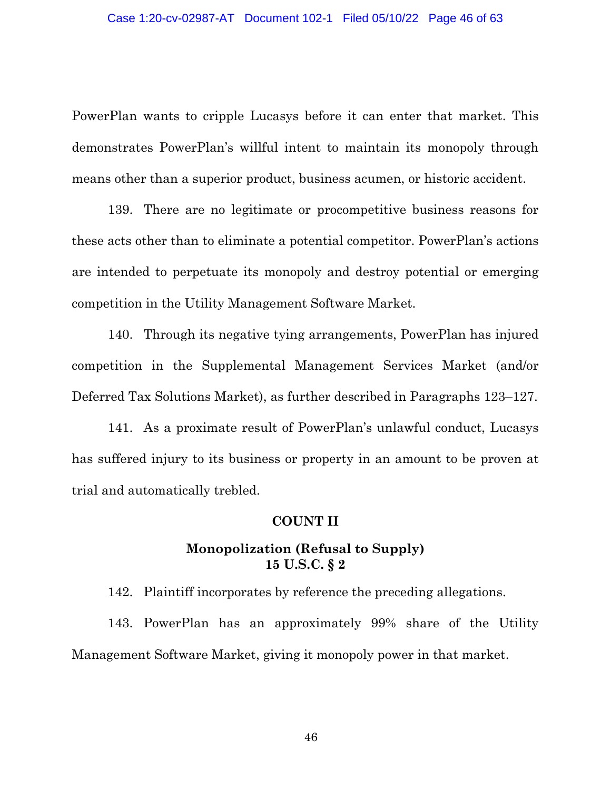PowerPlan wants to cripple Lucasys before it can enter that market. This demonstrates PowerPlan's willful intent to maintain its monopoly through means other than a superior product, business acumen, or historic accident.

139. There are no legitimate or procompetitive business reasons for these acts other than to eliminate a potential competitor. PowerPlan's actions are intended to perpetuate its monopoly and destroy potential or emerging competition in the Utility Management Software Market.

140. Through its negative tying arrangements, PowerPlan has injured competition in the Supplemental Management Services Market (and/or Deferred Tax Solutions Market), as further described in Paragraphs 123–127.

141. As a proximate result of PowerPlan's unlawful conduct, Lucasys has suffered injury to its business or property in an amount to be proven at trial and automatically trebled.

### **COUNT II**

## **Monopolization (Refusal to Supply) 15 U.S.C. § 2**

142. Plaintiff incorporates by reference the preceding allegations.

143. PowerPlan has an approximately 99% share of the Utility Management Software Market, giving it monopoly power in that market.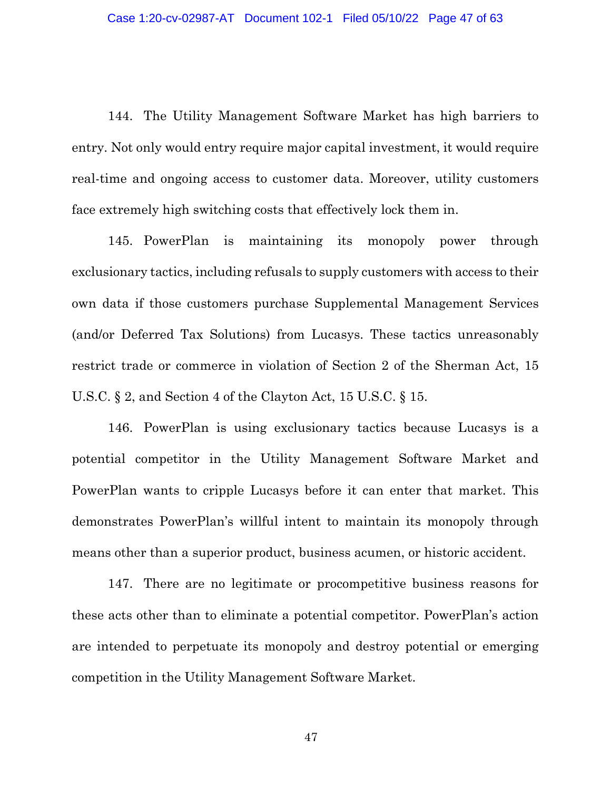144. The Utility Management Software Market has high barriers to entry. Not only would entry require major capital investment, it would require real-time and ongoing access to customer data. Moreover, utility customers face extremely high switching costs that effectively lock them in.

145. PowerPlan is maintaining its monopoly power through exclusionary tactics, including refusals to supply customers with access to their own data if those customers purchase Supplemental Management Services (and/or Deferred Tax Solutions) from Lucasys. These tactics unreasonably restrict trade or commerce in violation of Section 2 of the Sherman Act, 15 U.S.C. § 2, and Section 4 of the Clayton Act, 15 U.S.C. § 15.

146. PowerPlan is using exclusionary tactics because Lucasys is a potential competitor in the Utility Management Software Market and PowerPlan wants to cripple Lucasys before it can enter that market. This demonstrates PowerPlan's willful intent to maintain its monopoly through means other than a superior product, business acumen, or historic accident.

147. There are no legitimate or procompetitive business reasons for these acts other than to eliminate a potential competitor. PowerPlan's action are intended to perpetuate its monopoly and destroy potential or emerging competition in the Utility Management Software Market.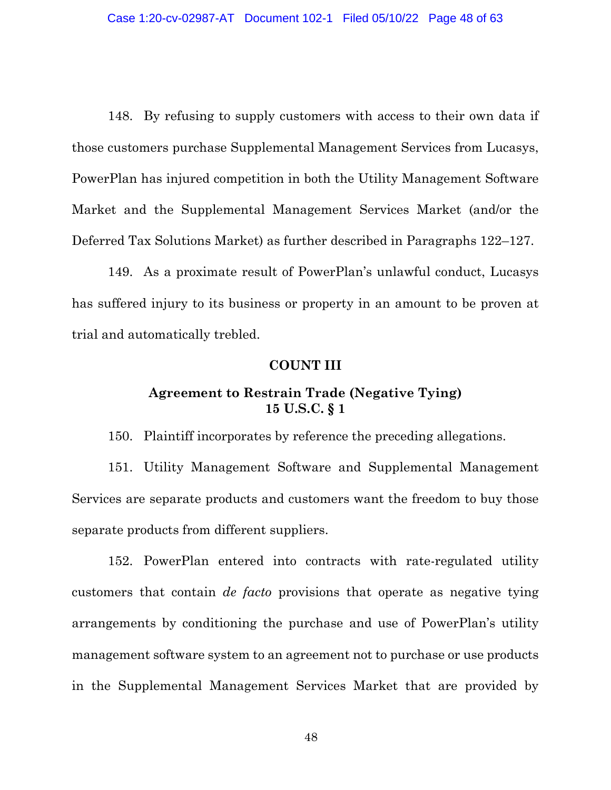148. By refusing to supply customers with access to their own data if those customers purchase Supplemental Management Services from Lucasys, PowerPlan has injured competition in both the Utility Management Software Market and the Supplemental Management Services Market (and/or the Deferred Tax Solutions Market) as further described in Paragraphs 122–127.

149. As a proximate result of PowerPlan's unlawful conduct, Lucasys has suffered injury to its business or property in an amount to be proven at trial and automatically trebled.

### **COUNT III**

# **Agreement to Restrain Trade (Negative Tying) 15 U.S.C. § 1**

150. Plaintiff incorporates by reference the preceding allegations.

151. Utility Management Software and Supplemental Management Services are separate products and customers want the freedom to buy those separate products from different suppliers.

152. PowerPlan entered into contracts with rate-regulated utility customers that contain *de facto* provisions that operate as negative tying arrangements by conditioning the purchase and use of PowerPlan's utility management software system to an agreement not to purchase or use products in the Supplemental Management Services Market that are provided by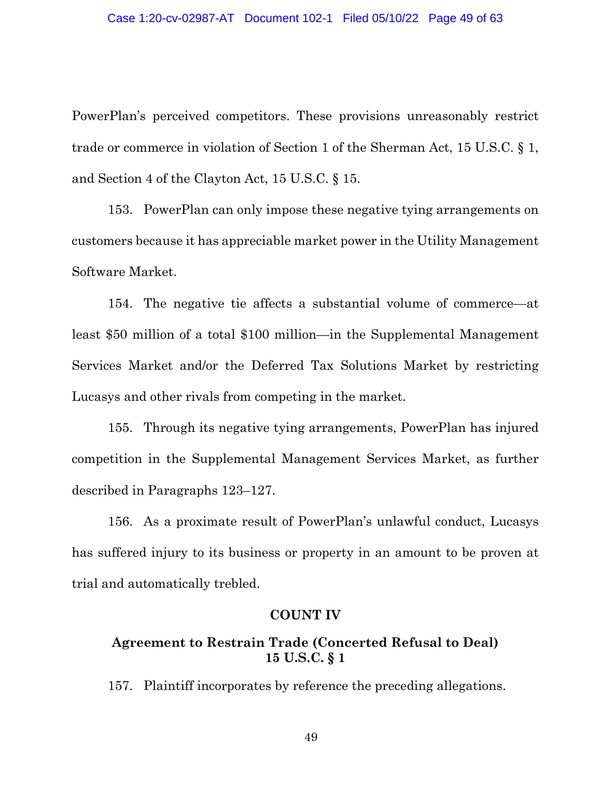PowerPlan's perceived competitors. These provisions unreasonably restrict trade or commerce in violation of Section 1 of the Sherman Act, 15 U.S.C. § 1, and Section 4 of the Clayton Act, 15 U.S.C. § 15.

153. PowerPlan can only impose these negative tying arrangements on customers because it has appreciable market power in the Utility Management Software Market.

154. The negative tie affects a substantial volume of commerce—at least \$50 million of a total \$100 million—in the Supplemental Management Services Market and/or the Deferred Tax Solutions Market by restricting Lucasys and other rivals from competing in the market.

155. Through its negative tying arrangements, PowerPlan has injured competition in the Supplemental Management Services Market, as further described in Paragraphs 123–127.

156. As a proximate result of PowerPlan's unlawful conduct, Lucasys has suffered injury to its business or property in an amount to be proven at trial and automatically trebled.

### **COUNT IV**

# **Agreement to Restrain Trade (Concerted Refusal to Deal) 15 U.S.C. § 1**

157. Plaintiff incorporates by reference the preceding allegations.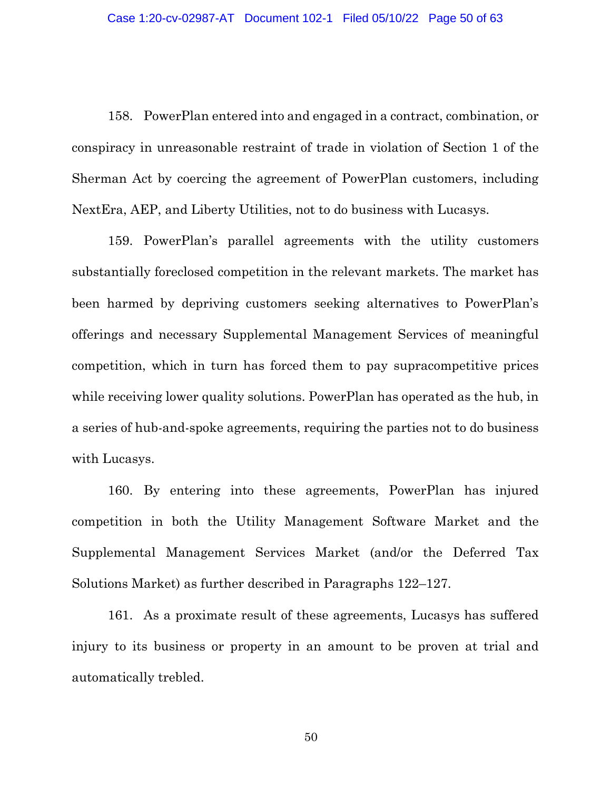158. PowerPlan entered into and engaged in a contract, combination, or conspiracy in unreasonable restraint of trade in violation of Section 1 of the Sherman Act by coercing the agreement of PowerPlan customers, including NextEra, AEP, and Liberty Utilities, not to do business with Lucasys.

159. PowerPlan's parallel agreements with the utility customers substantially foreclosed competition in the relevant markets. The market has been harmed by depriving customers seeking alternatives to PowerPlan's offerings and necessary Supplemental Management Services of meaningful competition, which in turn has forced them to pay supracompetitive prices while receiving lower quality solutions. PowerPlan has operated as the hub, in a series of hub-and-spoke agreements, requiring the parties not to do business with Lucasys.

160. By entering into these agreements, PowerPlan has injured competition in both the Utility Management Software Market and the Supplemental Management Services Market (and/or the Deferred Tax Solutions Market) as further described in Paragraphs 122–127.

161. As a proximate result of these agreements, Lucasys has suffered injury to its business or property in an amount to be proven at trial and automatically trebled.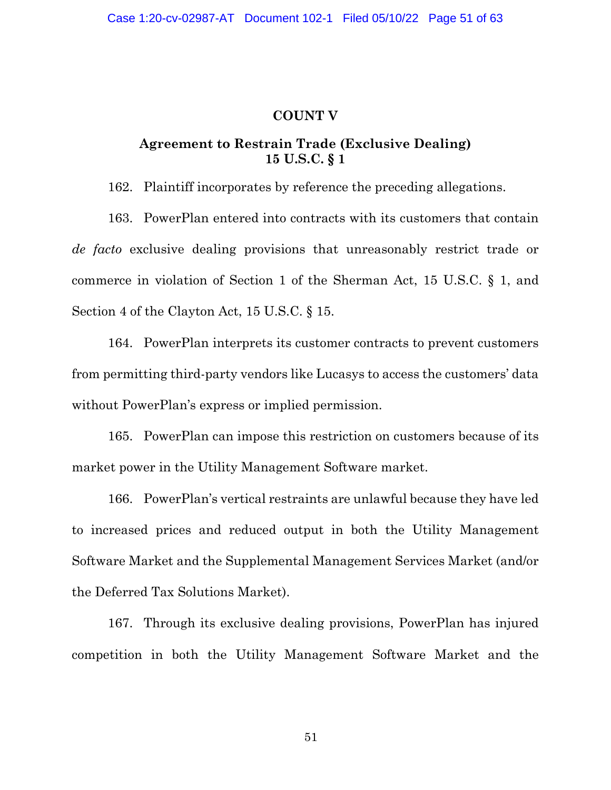### **COUNT V**

# **Agreement to Restrain Trade (Exclusive Dealing) 15 U.S.C. § 1**

162. Plaintiff incorporates by reference the preceding allegations.

163. PowerPlan entered into contracts with its customers that contain *de facto* exclusive dealing provisions that unreasonably restrict trade or commerce in violation of Section 1 of the Sherman Act, 15 U.S.C. § 1, and Section 4 of the Clayton Act, 15 U.S.C. § 15.

164. PowerPlan interprets its customer contracts to prevent customers from permitting third-party vendors like Lucasys to access the customers' data without PowerPlan's express or implied permission.

165. PowerPlan can impose this restriction on customers because of its market power in the Utility Management Software market.

166. PowerPlan's vertical restraints are unlawful because they have led to increased prices and reduced output in both the Utility Management Software Market and the Supplemental Management Services Market (and/or the Deferred Tax Solutions Market).

167. Through its exclusive dealing provisions, PowerPlan has injured competition in both the Utility Management Software Market and the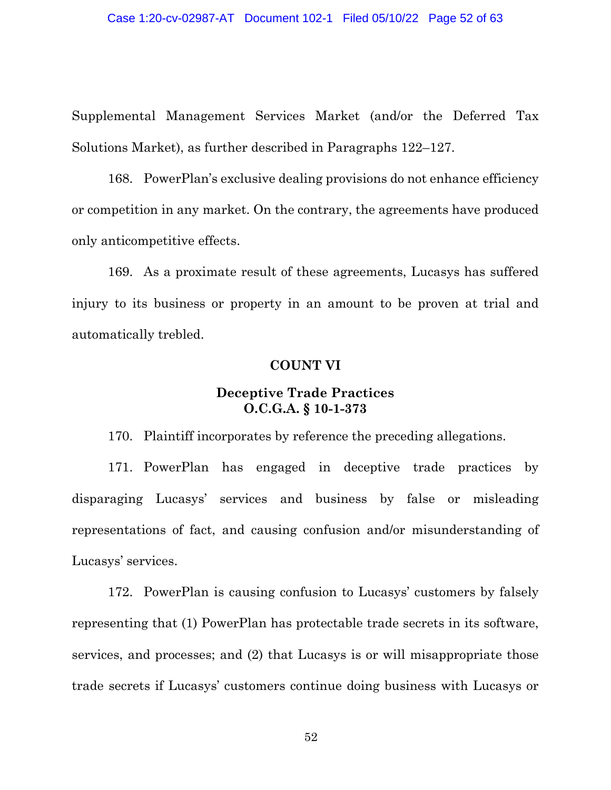Supplemental Management Services Market (and/or the Deferred Tax Solutions Market), as further described in Paragraphs 122–127.

168. PowerPlan's exclusive dealing provisions do not enhance efficiency or competition in any market. On the contrary, the agreements have produced only anticompetitive effects.

169. As a proximate result of these agreements, Lucasys has suffered injury to its business or property in an amount to be proven at trial and automatically trebled.

### **COUNT VI**

## **Deceptive Trade Practices O.C.G.A. § 10-1-373**

170. Plaintiff incorporates by reference the preceding allegations.

171. PowerPlan has engaged in deceptive trade practices by disparaging Lucasys' services and business by false or misleading representations of fact, and causing confusion and/or misunderstanding of Lucasys' services.

172. PowerPlan is causing confusion to Lucasys' customers by falsely representing that (1) PowerPlan has protectable trade secrets in its software, services, and processes; and (2) that Lucasys is or will misappropriate those trade secrets if Lucasys' customers continue doing business with Lucasys or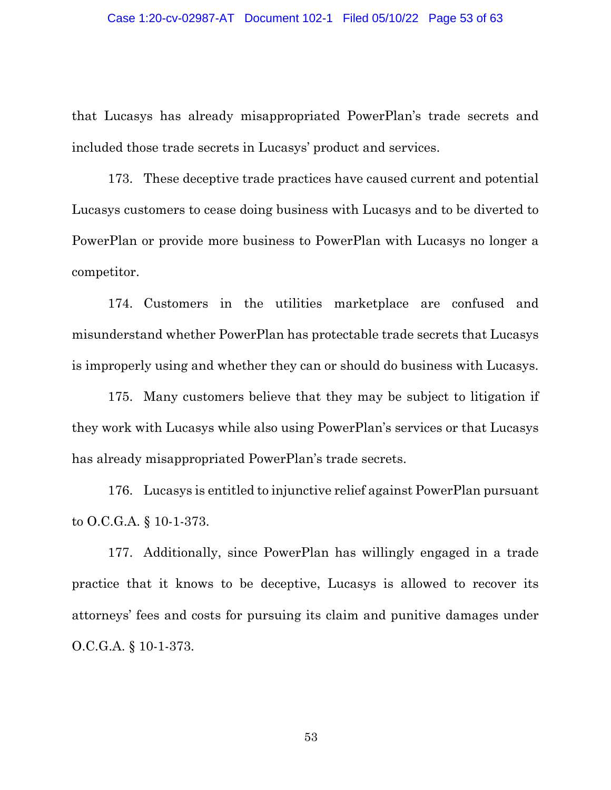that Lucasys has already misappropriated PowerPlan's trade secrets and included those trade secrets in Lucasys' product and services.

173. These deceptive trade practices have caused current and potential Lucasys customers to cease doing business with Lucasys and to be diverted to PowerPlan or provide more business to PowerPlan with Lucasys no longer a competitor.

174. Customers in the utilities marketplace are confused and misunderstand whether PowerPlan has protectable trade secrets that Lucasys is improperly using and whether they can or should do business with Lucasys.

175. Many customers believe that they may be subject to litigation if they work with Lucasys while also using PowerPlan's services or that Lucasys has already misappropriated PowerPlan's trade secrets.

176. Lucasys is entitled to injunctive relief against PowerPlan pursuant to O.C.G.A. § 10-1-373.

177. Additionally, since PowerPlan has willingly engaged in a trade practice that it knows to be deceptive, Lucasys is allowed to recover its attorneys' fees and costs for pursuing its claim and punitive damages under O.C.G.A. § 10-1-373.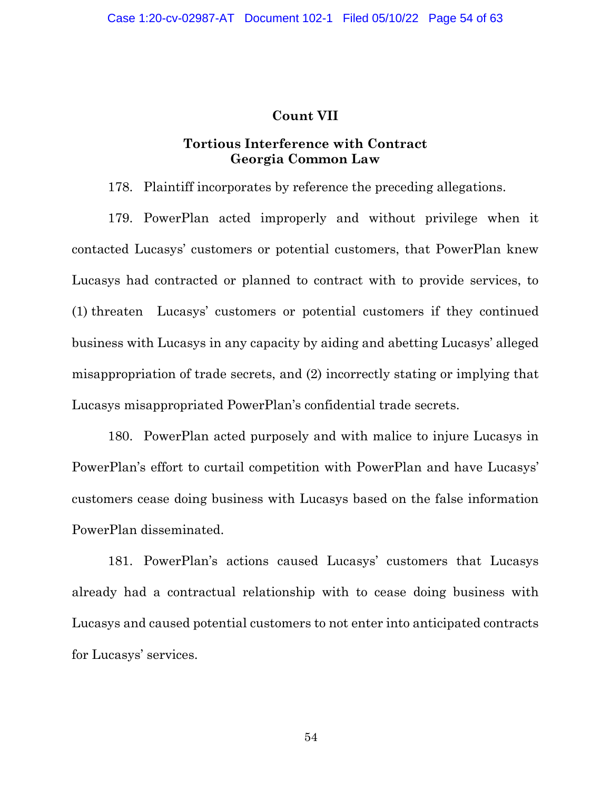### **Count VII**

## **Tortious Interference with Contract Georgia Common Law**

178. Plaintiff incorporates by reference the preceding allegations.

179. PowerPlan acted improperly and without privilege when it contacted Lucasys' customers or potential customers, that PowerPlan knew Lucasys had contracted or planned to contract with to provide services, to (1) threaten Lucasys' customers or potential customers if they continued business with Lucasys in any capacity by aiding and abetting Lucasys' alleged misappropriation of trade secrets, and (2) incorrectly stating or implying that Lucasys misappropriated PowerPlan's confidential trade secrets.

180. PowerPlan acted purposely and with malice to injure Lucasys in PowerPlan's effort to curtail competition with PowerPlan and have Lucasys' customers cease doing business with Lucasys based on the false information PowerPlan disseminated.

181. PowerPlan's actions caused Lucasys' customers that Lucasys already had a contractual relationship with to cease doing business with Lucasys and caused potential customers to not enter into anticipated contracts for Lucasys' services.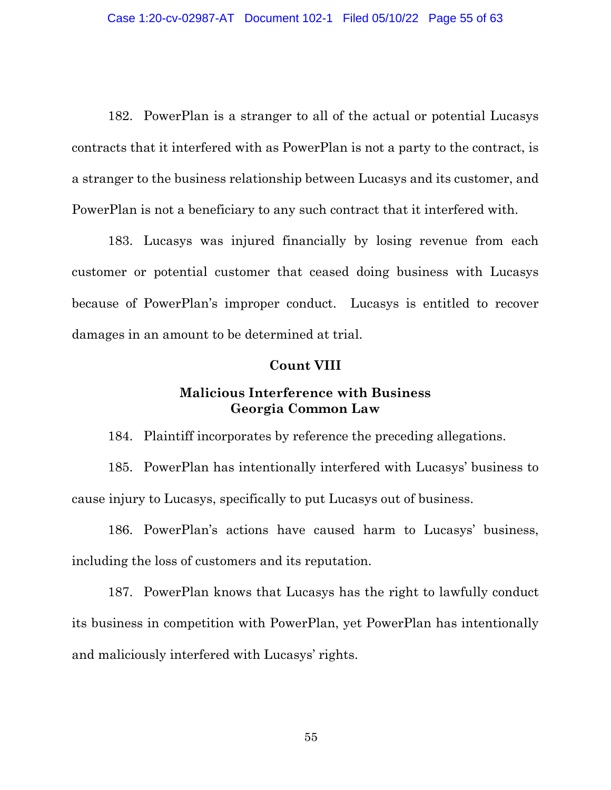182. PowerPlan is a stranger to all of the actual or potential Lucasys contracts that it interfered with as PowerPlan is not a party to the contract, is a stranger to the business relationship between Lucasys and its customer, and PowerPlan is not a beneficiary to any such contract that it interfered with.

183. Lucasys was injured financially by losing revenue from each customer or potential customer that ceased doing business with Lucasys because of PowerPlan's improper conduct. Lucasys is entitled to recover damages in an amount to be determined at trial.

#### **Count VIII**

## **Malicious Interference with Business Georgia Common Law**

184. Plaintiff incorporates by reference the preceding allegations.

185. PowerPlan has intentionally interfered with Lucasys' business to cause injury to Lucasys, specifically to put Lucasys out of business.

186. PowerPlan's actions have caused harm to Lucasys' business, including the loss of customers and its reputation.

187. PowerPlan knows that Lucasys has the right to lawfully conduct its business in competition with PowerPlan, yet PowerPlan has intentionally and maliciously interfered with Lucasys' rights.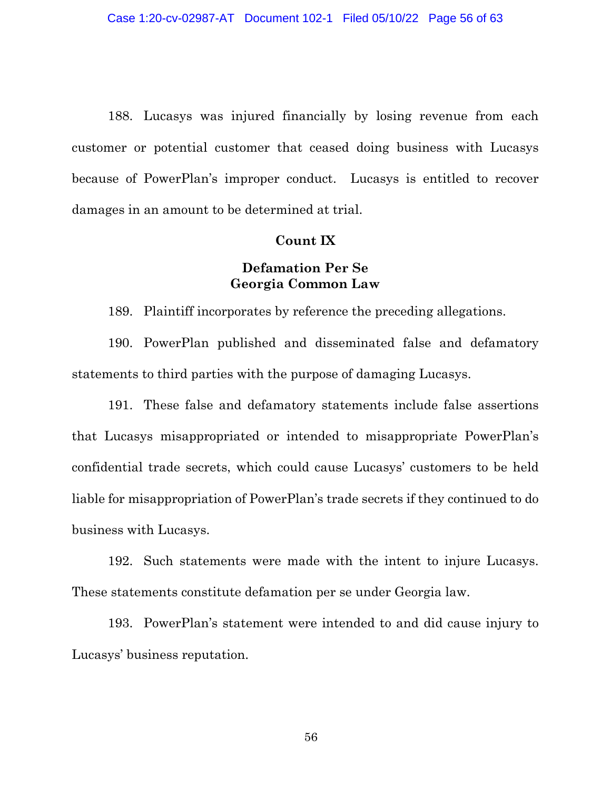188. Lucasys was injured financially by losing revenue from each customer or potential customer that ceased doing business with Lucasys because of PowerPlan's improper conduct. Lucasys is entitled to recover damages in an amount to be determined at trial.

### **Count IX**

# **Defamation Per Se Georgia Common Law**

189. Plaintiff incorporates by reference the preceding allegations.

190. PowerPlan published and disseminated false and defamatory statements to third parties with the purpose of damaging Lucasys.

191. These false and defamatory statements include false assertions that Lucasys misappropriated or intended to misappropriate PowerPlan's confidential trade secrets, which could cause Lucasys' customers to be held liable for misappropriation of PowerPlan's trade secrets if they continued to do business with Lucasys.

192. Such statements were made with the intent to injure Lucasys. These statements constitute defamation per se under Georgia law.

193. PowerPlan's statement were intended to and did cause injury to Lucasys' business reputation.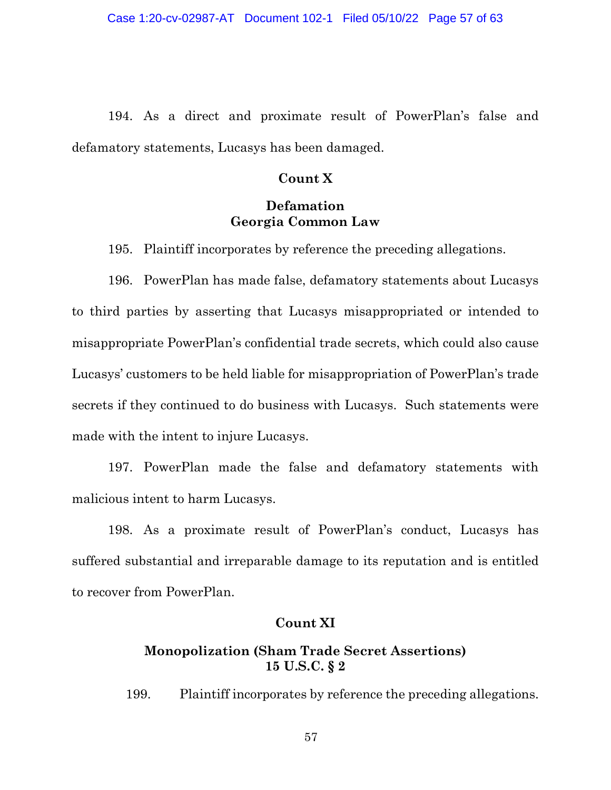194. As a direct and proximate result of PowerPlan's false and defamatory statements, Lucasys has been damaged.

### **Count X**

# **Defamation Georgia Common Law**

195. Plaintiff incorporates by reference the preceding allegations.

196. PowerPlan has made false, defamatory statements about Lucasys to third parties by asserting that Lucasys misappropriated or intended to misappropriate PowerPlan's confidential trade secrets, which could also cause Lucasys' customers to be held liable for misappropriation of PowerPlan's trade secrets if they continued to do business with Lucasys. Such statements were made with the intent to injure Lucasys.

197. PowerPlan made the false and defamatory statements with malicious intent to harm Lucasys.

198. As a proximate result of PowerPlan's conduct, Lucasys has suffered substantial and irreparable damage to its reputation and is entitled to recover from PowerPlan.

# **Count XI**

# **Monopolization (Sham Trade Secret Assertions) 15 U.S.C. § 2**

199. Plaintiff incorporates by reference the preceding allegations.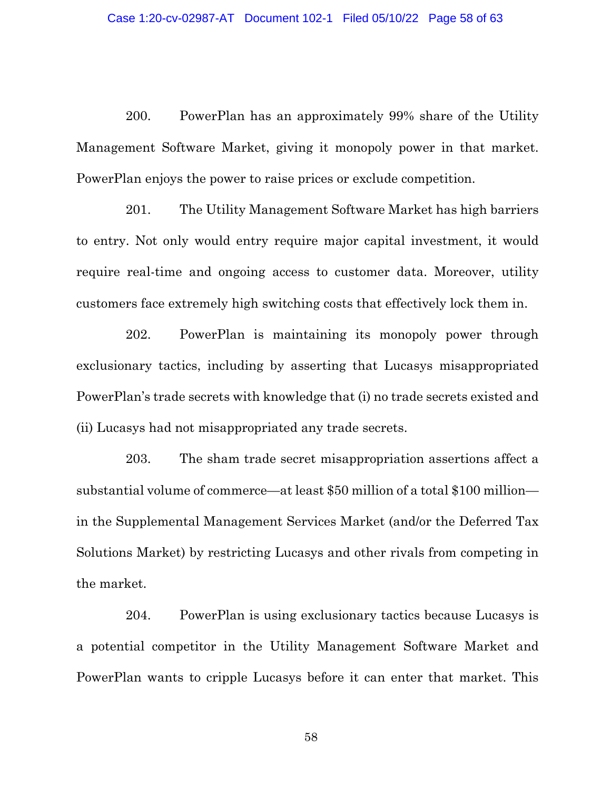200. PowerPlan has an approximately 99% share of the Utility Management Software Market, giving it monopoly power in that market. PowerPlan enjoys the power to raise prices or exclude competition.

201. The Utility Management Software Market has high barriers to entry. Not only would entry require major capital investment, it would require real-time and ongoing access to customer data. Moreover, utility customers face extremely high switching costs that effectively lock them in.

202. PowerPlan is maintaining its monopoly power through exclusionary tactics, including by asserting that Lucasys misappropriated PowerPlan's trade secrets with knowledge that (i) no trade secrets existed and (ii) Lucasys had not misappropriated any trade secrets.

203. The sham trade secret misappropriation assertions affect a substantial volume of commerce—at least \$50 million of a total \$100 million in the Supplemental Management Services Market (and/or the Deferred Tax Solutions Market) by restricting Lucasys and other rivals from competing in the market.

204. PowerPlan is using exclusionary tactics because Lucasys is a potential competitor in the Utility Management Software Market and PowerPlan wants to cripple Lucasys before it can enter that market. This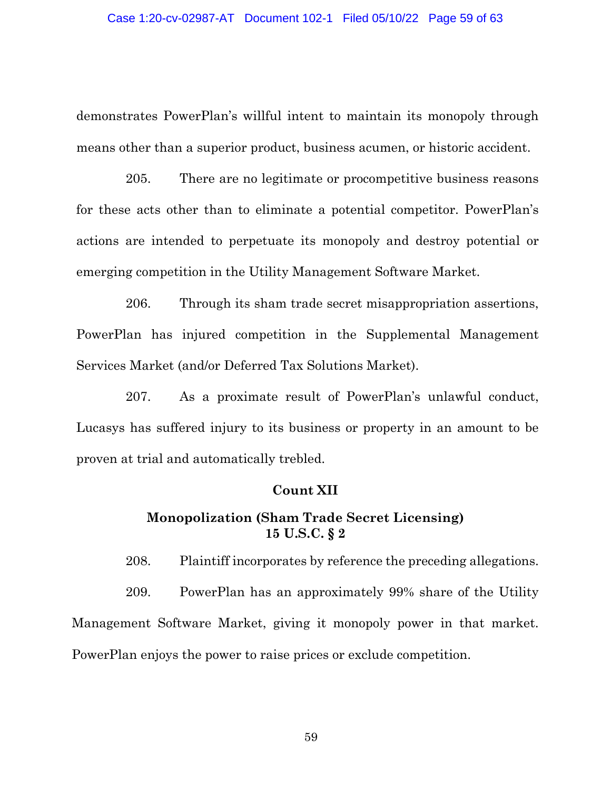demonstrates PowerPlan's willful intent to maintain its monopoly through means other than a superior product, business acumen, or historic accident.

205. There are no legitimate or procompetitive business reasons for these acts other than to eliminate a potential competitor. PowerPlan's actions are intended to perpetuate its monopoly and destroy potential or emerging competition in the Utility Management Software Market.

206. Through its sham trade secret misappropriation assertions, PowerPlan has injured competition in the Supplemental Management Services Market (and/or Deferred Tax Solutions Market).

207. As a proximate result of PowerPlan's unlawful conduct, Lucasys has suffered injury to its business or property in an amount to be proven at trial and automatically trebled.

### **Count XII**

# **Monopolization (Sham Trade Secret Licensing) 15 U.S.C. § 2**

208. Plaintiff incorporates by reference the preceding allegations.

209. PowerPlan has an approximately 99% share of the Utility Management Software Market, giving it monopoly power in that market. PowerPlan enjoys the power to raise prices or exclude competition.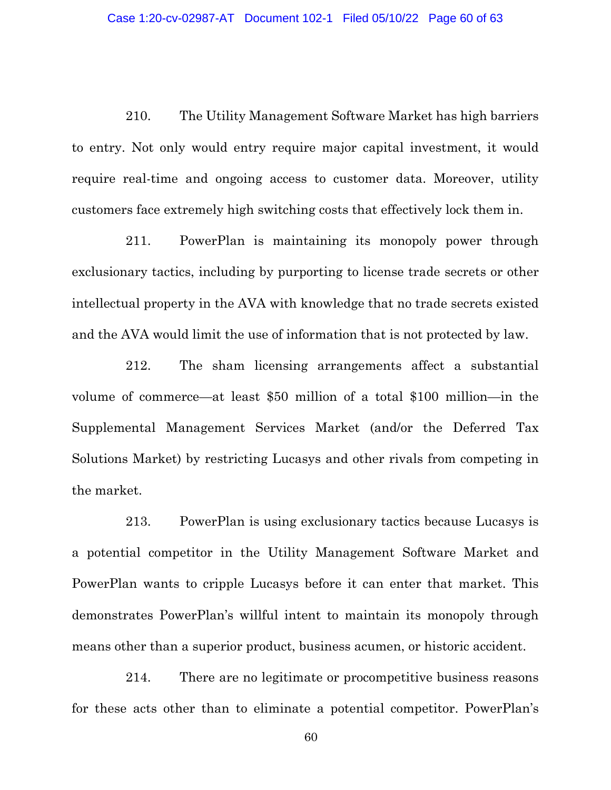210. The Utility Management Software Market has high barriers to entry. Not only would entry require major capital investment, it would require real-time and ongoing access to customer data. Moreover, utility customers face extremely high switching costs that effectively lock them in.

211. PowerPlan is maintaining its monopoly power through exclusionary tactics, including by purporting to license trade secrets or other intellectual property in the AVA with knowledge that no trade secrets existed and the AVA would limit the use of information that is not protected by law.

212. The sham licensing arrangements affect a substantial volume of commerce—at least \$50 million of a total \$100 million—in the Supplemental Management Services Market (and/or the Deferred Tax Solutions Market) by restricting Lucasys and other rivals from competing in the market.

213. PowerPlan is using exclusionary tactics because Lucasys is a potential competitor in the Utility Management Software Market and PowerPlan wants to cripple Lucasys before it can enter that market. This demonstrates PowerPlan's willful intent to maintain its monopoly through means other than a superior product, business acumen, or historic accident.

214. There are no legitimate or procompetitive business reasons for these acts other than to eliminate a potential competitor. PowerPlan's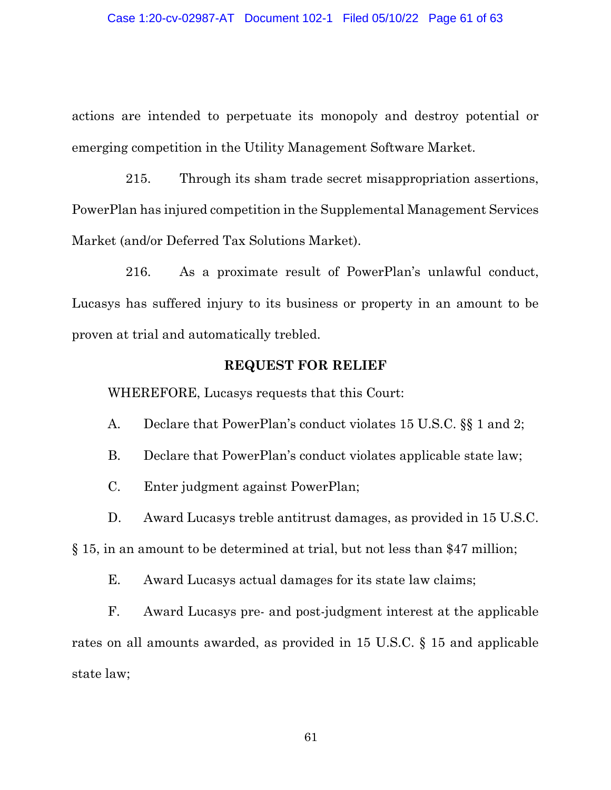actions are intended to perpetuate its monopoly and destroy potential or emerging competition in the Utility Management Software Market.

215. Through its sham trade secret misappropriation assertions, PowerPlan has injured competition in the Supplemental Management Services Market (and/or Deferred Tax Solutions Market).

216. As a proximate result of PowerPlan's unlawful conduct, Lucasys has suffered injury to its business or property in an amount to be proven at trial and automatically trebled.

### **REQUEST FOR RELIEF**

WHEREFORE, Lucasys requests that this Court:

- A. Declare that PowerPlan's conduct violates 15 U.S.C. §§ 1 and 2;
- B. Declare that PowerPlan's conduct violates applicable state law;
- C. Enter judgment against PowerPlan;
- D. Award Lucasys treble antitrust damages, as provided in 15 U.S.C.

§ 15, in an amount to be determined at trial, but not less than \$47 million;

E. Award Lucasys actual damages for its state law claims;

F. Award Lucasys pre- and post-judgment interest at the applicable rates on all amounts awarded, as provided in 15 U.S.C. § 15 and applicable state law;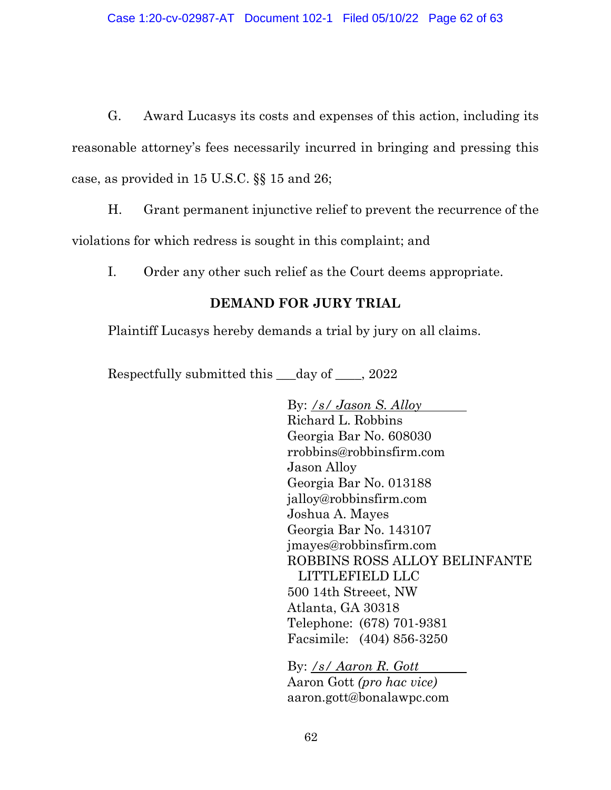G. Award Lucasys its costs and expenses of this action, including its reasonable attorney's fees necessarily incurred in bringing and pressing this case, as provided in 15 U.S.C. §§ 15 and 26;

H. Grant permanent injunctive relief to prevent the recurrence of the violations for which redress is sought in this complaint; and

I. Order any other such relief as the Court deems appropriate.

# **DEMAND FOR JURY TRIAL**

Plaintiff Lucasys hereby demands a trial by jury on all claims.

Respectfully submitted this \_\_\_day of \_\_\_\_, 2022

By: */s/ Jason S. Alloy*  Richard L. Robbins Georgia Bar No. 608030 rrobbins@robbinsfirm.com Jason Alloy Georgia Bar No. 013188 jalloy@robbinsfirm.com Joshua A. Mayes Georgia Bar No. 143107 jmayes@robbinsfirm.com ROBBINS ROSS ALLOY BELINFANTE LITTLEFIELD LLC 500 14th Streeet, NW Atlanta, GA 30318 Telephone: (678) 701-9381 Facsimile: (404) 856-3250

By: */s/ Aaron R. Gott* Aaron Gott *(pro hac vice)* aaron.gott@bonalawpc.com